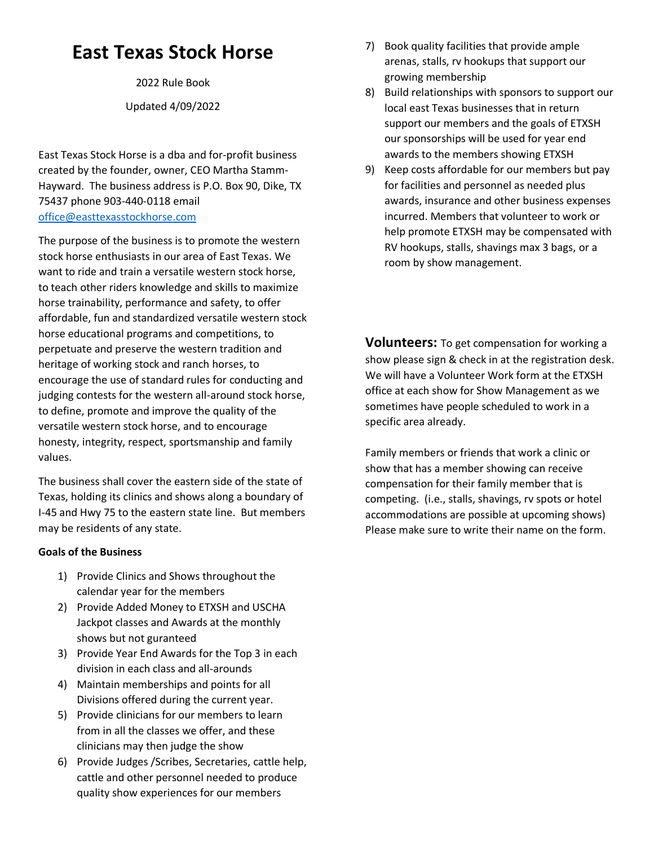# **East Texas Stock Horse**

2022 Rule Book

Updated 4/09/2022

East Texas Stock Horse is a dba and for-profit business created by the founder, owner, CEO Martha Stamm-Hayward. The business address is P.O. Box 90, Dike, TX 75437 phone 903-440-0118 email [office@easttexasstockhorse.com](mailto:office@easttexasstockhorse.com)

The purpose of the business is to promote the western stock horse enthusiasts in our area of East Texas. We want to ride and train a versatile western stock horse, to teach other riders knowledge and skills to maximize horse trainability, performance and safety, to offer affordable, fun and standardized versatile western stock horse educational programs and competitions, to perpetuate and preserve the western tradition and heritage of working stock and ranch horses, to encourage the use of standard rules for conducting and judging contests for the western all-around stock horse, to define, promote and improve the quality of the versatile western stock horse, and to encourage honesty, integrity, respect, sportsmanship and family values.

The business shall cover the eastern side of the state of Texas, holding its clinics and shows along a boundary of I-45 and Hwy 75 to the eastern state line. But members may be residents of any state.

### **Goals of the Business**

- 1) Provide Clinics and Shows throughout the calendar year for the members
- 2) Provide Added Money to ETXSH and USCHA Jackpot classes and Awards at the monthly shows but not guranteed
- 3) Provide Year End Awards for the Top 3 in each division in each class and all-arounds
- 4) Maintain memberships and points for all Divisions offered during the current year.
- 5) Provide clinicians for our members to learn from in all the classes we offer, and these clinicians may then judge the show
- 6) Provide Judges /Scribes, Secretaries, cattle help, cattle and other personnel needed to produce quality show experiences for our members
- 7) Book quality facilities that provide ample arenas, stalls, rv hookups that support our growing membership
- 8) Build relationships with sponsors to support our local east Texas businesses that in return support our members and the goals of ETXSH our sponsorships will be used for year end awards to the members showing ETXSH
- 9) Keep costs affordable for our members but pay for facilities and personnel as needed plus awards, insurance and other business expenses incurred. Members that volunteer to work or help promote ETXSH may be compensated with RV hookups, stalls, shavings max 3 bags, or a room by show management.

**Volunteers:** To get compensation for working a show please sign & check in at the registration desk. We will have a Volunteer Work form at the ETXSH office at each show for Show Management as we sometimes have people scheduled to work in a specific area already.

Family members or friends that work a clinic or show that has a member showing can receive compensation for their family member that is competing. (i.e., stalls, shavings, rv spots or hotel accommodations are possible at upcoming shows) Please make sure to write their name on the form.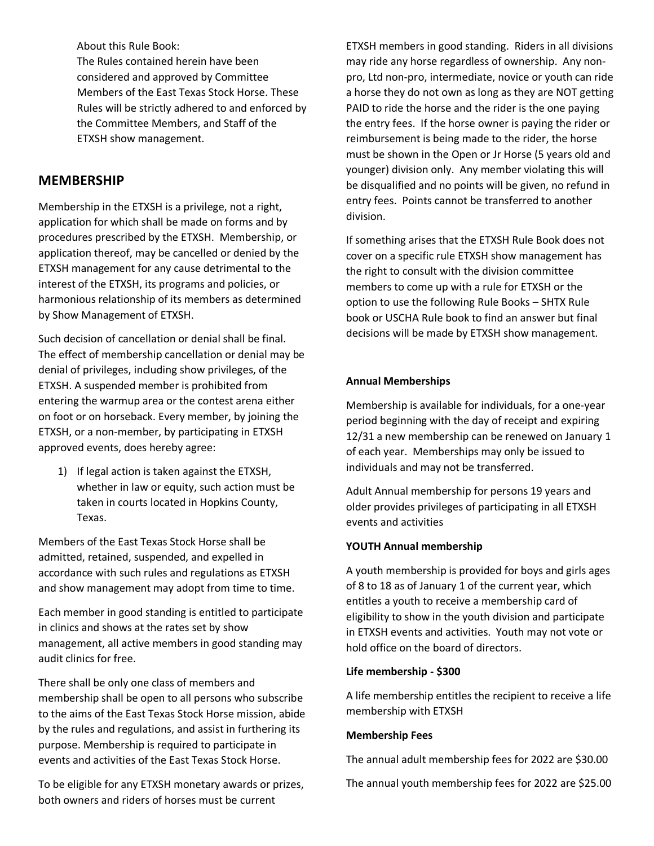About this Rule Book: The Rules contained herein have been considered and approved by Committee Members of the East Texas Stock Horse. These Rules will be strictly adhered to and enforced by the Committee Members, and Staff of the ETXSH show management.

# **MEMBERSHIP**

Membership in the ETXSH is a privilege, not a right, application for which shall be made on forms and by procedures prescribed by the ETXSH. Membership, or application thereof, may be cancelled or denied by the ETXSH management for any cause detrimental to the interest of the ETXSH, its programs and policies, or harmonious relationship of its members as determined by Show Management of ETXSH.

Such decision of cancellation or denial shall be final. The effect of membership cancellation or denial may be denial of privileges, including show privileges, of the ETXSH. A suspended member is prohibited from entering the warmup area or the contest arena either on foot or on horseback. Every member, by joining the ETXSH, or a non-member, by participating in ETXSH approved events, does hereby agree:

1) If legal action is taken against the ETXSH, whether in law or equity, such action must be taken in courts located in Hopkins County, Texas.

Members of the East Texas Stock Horse shall be admitted, retained, suspended, and expelled in accordance with such rules and regulations as ETXSH and show management may adopt from time to time.

Each member in good standing is entitled to participate in clinics and shows at the rates set by show management, all active members in good standing may audit clinics for free.

There shall be only one class of members and membership shall be open to all persons who subscribe to the aims of the East Texas Stock Horse mission, abide by the rules and regulations, and assist in furthering its purpose. Membership is required to participate in events and activities of the East Texas Stock Horse.

To be eligible for any ETXSH monetary awards or prizes, both owners and riders of horses must be current

ETXSH members in good standing. Riders in all divisions may ride any horse regardless of ownership. Any nonpro, Ltd non-pro, intermediate, novice or youth can ride a horse they do not own as long as they are NOT getting PAID to ride the horse and the rider is the one paying the entry fees. If the horse owner is paying the rider or reimbursement is being made to the rider, the horse must be shown in the Open or Jr Horse (5 years old and younger) division only. Any member violating this will be disqualified and no points will be given, no refund in entry fees. Points cannot be transferred to another division.

If something arises that the ETXSH Rule Book does not cover on a specific rule ETXSH show management has the right to consult with the division committee members to come up with a rule for ETXSH or the option to use the following Rule Books – SHTX Rule book or USCHA Rule book to find an answer but final decisions will be made by ETXSH show management.

### **Annual Memberships**

Membership is available for individuals, for a one-year period beginning with the day of receipt and expiring 12/31 a new membership can be renewed on January 1 of each year. Memberships may only be issued to individuals and may not be transferred.

Adult Annual membership for persons 19 years and older provides privileges of participating in all ETXSH events and activities

### **YOUTH Annual membership**

A youth membership is provided for boys and girls ages of 8 to 18 as of January 1 of the current year, which entitles a youth to receive a membership card of eligibility to show in the youth division and participate in ETXSH events and activities. Youth may not vote or hold office on the board of directors.

### **Life membership - \$300**

A life membership entitles the recipient to receive a life membership with ETXSH

### **Membership Fees**

The annual adult membership fees for 2022 are \$30.00

The annual youth membership fees for 2022 are \$25.00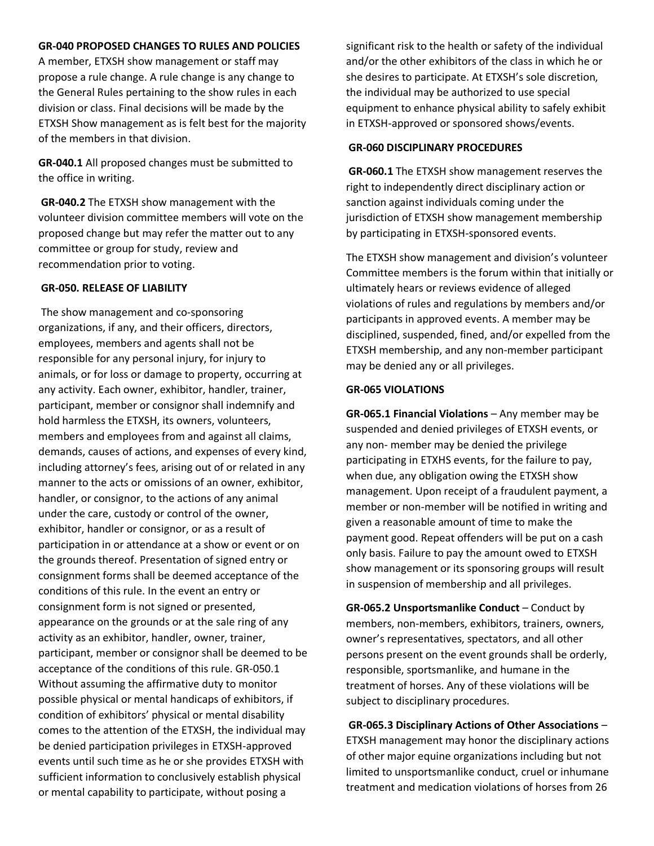#### **GR-040 PROPOSED CHANGES TO RULES AND POLICIES**

A member, ETXSH show management or staff may propose a rule change. A rule change is any change to the General Rules pertaining to the show rules in each division or class. Final decisions will be made by the ETXSH Show management as is felt best for the majority of the members in that division.

**GR-040.1** All proposed changes must be submitted to the office in writing.

**GR-040.2** The ETXSH show management with the volunteer division committee members will vote on the proposed change but may refer the matter out to any committee or group for study, review and recommendation prior to voting.

#### **GR-050. RELEASE OF LIABILITY**

The show management and co-sponsoring organizations, if any, and their officers, directors, employees, members and agents shall not be responsible for any personal injury, for injury to animals, or for loss or damage to property, occurring at any activity. Each owner, exhibitor, handler, trainer, participant, member or consignor shall indemnify and hold harmless the ETXSH, its owners, volunteers, members and employees from and against all claims, demands, causes of actions, and expenses of every kind, including attorney's fees, arising out of or related in any manner to the acts or omissions of an owner, exhibitor, handler, or consignor, to the actions of any animal under the care, custody or control of the owner, exhibitor, handler or consignor, or as a result of participation in or attendance at a show or event or on the grounds thereof. Presentation of signed entry or consignment forms shall be deemed acceptance of the conditions of this rule. In the event an entry or consignment form is not signed or presented, appearance on the grounds or at the sale ring of any activity as an exhibitor, handler, owner, trainer, participant, member or consignor shall be deemed to be acceptance of the conditions of this rule. GR-050.1 Without assuming the affirmative duty to monitor possible physical or mental handicaps of exhibitors, if condition of exhibitors' physical or mental disability comes to the attention of the ETXSH, the individual may be denied participation privileges in ETXSH-approved events until such time as he or she provides ETXSH with sufficient information to conclusively establish physical or mental capability to participate, without posing a

significant risk to the health or safety of the individual and/or the other exhibitors of the class in which he or she desires to participate. At ETXSH's sole discretion, the individual may be authorized to use special equipment to enhance physical ability to safely exhibit in ETXSH-approved or sponsored shows/events.

#### **GR-060 DISCIPLINARY PROCEDURES**

**GR-060.1** The ETXSH show management reserves the right to independently direct disciplinary action or sanction against individuals coming under the jurisdiction of ETXSH show management membership by participating in ETXSH-sponsored events.

The ETXSH show management and division's volunteer Committee members is the forum within that initially or ultimately hears or reviews evidence of alleged violations of rules and regulations by members and/or participants in approved events. A member may be disciplined, suspended, fined, and/or expelled from the ETXSH membership, and any non-member participant may be denied any or all privileges.

### **GR-065 VIOLATIONS**

**GR-065.1 Financial Violations** – Any member may be suspended and denied privileges of ETXSH events, or any non- member may be denied the privilege participating in ETXHS events, for the failure to pay, when due, any obligation owing the ETXSH show management. Upon receipt of a fraudulent payment, a member or non-member will be notified in writing and given a reasonable amount of time to make the payment good. Repeat offenders will be put on a cash only basis. Failure to pay the amount owed to ETXSH show management or its sponsoring groups will result in suspension of membership and all privileges.

**GR-065.2 Unsportsmanlike Conduct** – Conduct by members, non-members, exhibitors, trainers, owners, owner's representatives, spectators, and all other persons present on the event grounds shall be orderly, responsible, sportsmanlike, and humane in the treatment of horses. Any of these violations will be subject to disciplinary procedures.

**GR-065.3 Disciplinary Actions of Other Associations** – ETXSH management may honor the disciplinary actions of other major equine organizations including but not limited to unsportsmanlike conduct, cruel or inhumane treatment and medication violations of horses from 26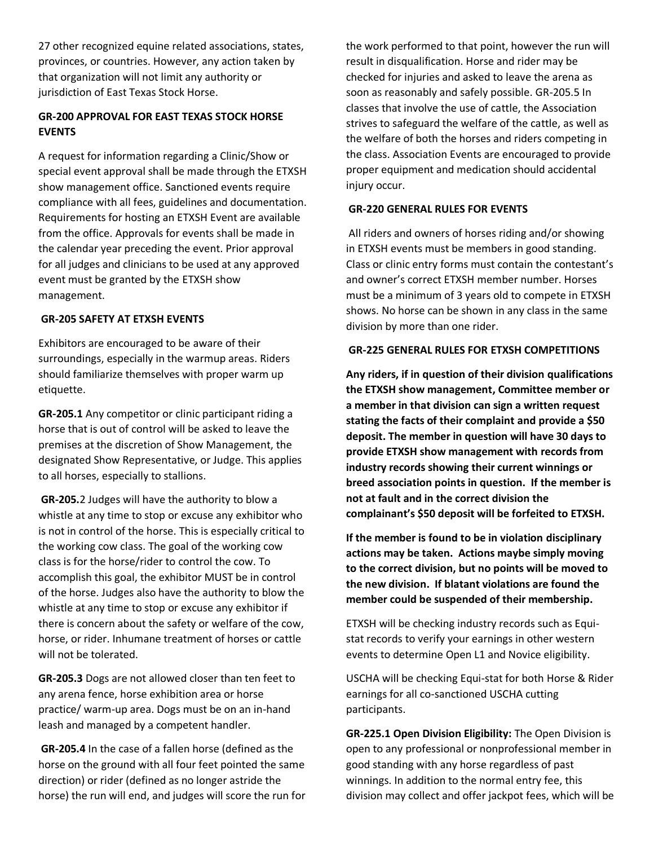27 other recognized equine related associations, states, provinces, or countries. However, any action taken by that organization will not limit any authority or jurisdiction of East Texas Stock Horse.

### **GR-200 APPROVAL FOR EAST TEXAS STOCK HORSE EVENTS**

A request for information regarding a Clinic/Show or special event approval shall be made through the ETXSH show management office. Sanctioned events require compliance with all fees, guidelines and documentation. Requirements for hosting an ETXSH Event are available from the office. Approvals for events shall be made in the calendar year preceding the event. Prior approval for all judges and clinicians to be used at any approved event must be granted by the ETXSH show management.

#### **GR-205 SAFETY AT ETXSH EVENTS**

Exhibitors are encouraged to be aware of their surroundings, especially in the warmup areas. Riders should familiarize themselves with proper warm up etiquette.

**GR-205.1** Any competitor or clinic participant riding a horse that is out of control will be asked to leave the premises at the discretion of Show Management, the designated Show Representative, or Judge. This applies to all horses, especially to stallions.

**GR-205.**2 Judges will have the authority to blow a whistle at any time to stop or excuse any exhibitor who is not in control of the horse. This is especially critical to the working cow class. The goal of the working cow class is for the horse/rider to control the cow. To accomplish this goal, the exhibitor MUST be in control of the horse. Judges also have the authority to blow the whistle at any time to stop or excuse any exhibitor if there is concern about the safety or welfare of the cow, horse, or rider. Inhumane treatment of horses or cattle will not be tolerated.

**GR-205.3** Dogs are not allowed closer than ten feet to any arena fence, horse exhibition area or horse practice/ warm-up area. Dogs must be on an in-hand leash and managed by a competent handler.

**GR-205.4** In the case of a fallen horse (defined as the horse on the ground with all four feet pointed the same direction) or rider (defined as no longer astride the horse) the run will end, and judges will score the run for the work performed to that point, however the run will result in disqualification. Horse and rider may be checked for injuries and asked to leave the arena as soon as reasonably and safely possible. GR-205.5 In classes that involve the use of cattle, the Association strives to safeguard the welfare of the cattle, as well as the welfare of both the horses and riders competing in the class. Association Events are encouraged to provide proper equipment and medication should accidental injury occur.

### **GR-220 GENERAL RULES FOR EVENTS**

All riders and owners of horses riding and/or showing in ETXSH events must be members in good standing. Class or clinic entry forms must contain the contestant's and owner's correct ETXSH member number. Horses must be a minimum of 3 years old to compete in ETXSH shows. No horse can be shown in any class in the same division by more than one rider.

#### **GR-225 GENERAL RULES FOR ETXSH COMPETITIONS**

**Any riders, if in question of their division qualifications the ETXSH show management, Committee member or a member in that division can sign a written request stating the facts of their complaint and provide a \$50 deposit. The member in question will have 30 days to provide ETXSH show management with records from industry records showing their current winnings or breed association points in question. If the member is not at fault and in the correct division the complainant's \$50 deposit will be forfeited to ETXSH.**

**If the member is found to be in violation disciplinary actions may be taken. Actions maybe simply moving to the correct division, but no points will be moved to the new division. If blatant violations are found the member could be suspended of their membership.**

ETXSH will be checking industry records such as Equistat records to verify your earnings in other western events to determine Open L1 and Novice eligibility.

USCHA will be checking Equi-stat for both Horse & Rider earnings for all co-sanctioned USCHA cutting participants.

**GR-225.1 Open Division Eligibility:** The Open Division is open to any professional or nonprofessional member in good standing with any horse regardless of past winnings. In addition to the normal entry fee, this division may collect and offer jackpot fees, which will be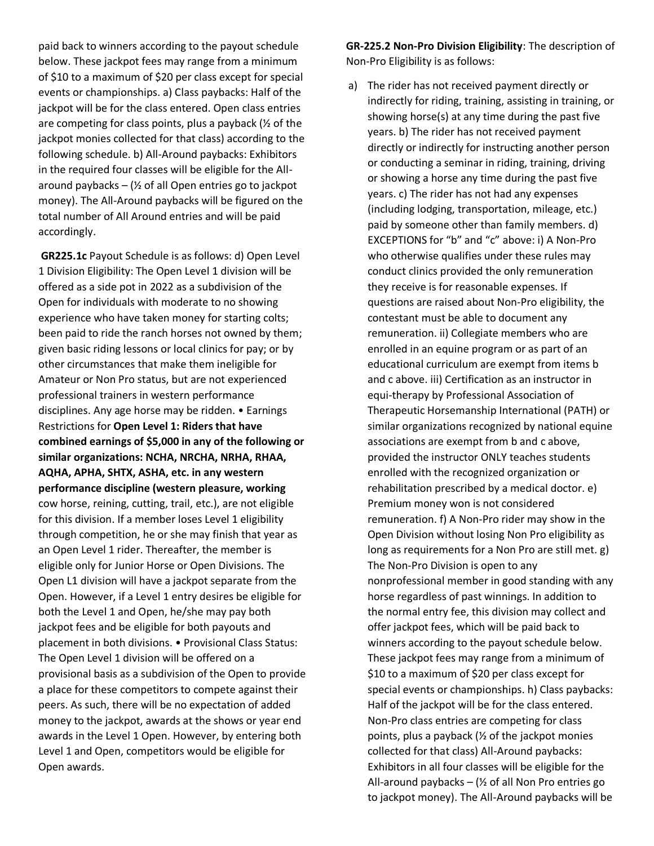paid back to winners according to the payout schedule below. These jackpot fees may range from a minimum of \$10 to a maximum of \$20 per class except for special events or championships. a) Class paybacks: Half of the jackpot will be for the class entered. Open class entries are competing for class points, plus a payback (½ of the jackpot monies collected for that class) according to the following schedule. b) All-Around paybacks: Exhibitors in the required four classes will be eligible for the Allaround paybacks  $-$  ( $\frac{1}{2}$  of all Open entries go to jackpot money). The All-Around paybacks will be figured on the total number of All Around entries and will be paid accordingly.

**GR225.1c** Payout Schedule is as follows: d) Open Level 1 Division Eligibility: The Open Level 1 division will be offered as a side pot in 2022 as a subdivision of the Open for individuals with moderate to no showing experience who have taken money for starting colts; been paid to ride the ranch horses not owned by them; given basic riding lessons or local clinics for pay; or by other circumstances that make them ineligible for Amateur or Non Pro status, but are not experienced professional trainers in western performance disciplines. Any age horse may be ridden. • Earnings Restrictions for **Open Level 1: Riders that have combined earnings of \$5,000 in any of the following or similar organizations: NCHA, NRCHA, NRHA, RHAA, AQHA, APHA, SHTX, ASHA, etc. in any western performance discipline (western pleasure, working**  cow horse, reining, cutting, trail, etc.), are not eligible for this division. If a member loses Level 1 eligibility through competition, he or she may finish that year as an Open Level 1 rider. Thereafter, the member is eligible only for Junior Horse or Open Divisions. The Open L1 division will have a jackpot separate from the Open. However, if a Level 1 entry desires be eligible for both the Level 1 and Open, he/she may pay both jackpot fees and be eligible for both payouts and placement in both divisions. • Provisional Class Status: The Open Level 1 division will be offered on a provisional basis as a subdivision of the Open to provide a place for these competitors to compete against their peers. As such, there will be no expectation of added money to the jackpot, awards at the shows or year end awards in the Level 1 Open. However, by entering both Level 1 and Open, competitors would be eligible for Open awards.

**GR-225.2 Non-Pro Division Eligibility**: The description of Non-Pro Eligibility is as follows:

a) The rider has not received payment directly or indirectly for riding, training, assisting in training, or showing horse(s) at any time during the past five years. b) The rider has not received payment directly or indirectly for instructing another person or conducting a seminar in riding, training, driving or showing a horse any time during the past five years. c) The rider has not had any expenses (including lodging, transportation, mileage, etc.) paid by someone other than family members. d) EXCEPTIONS for "b" and "c" above: i) A Non-Pro who otherwise qualifies under these rules may conduct clinics provided the only remuneration they receive is for reasonable expenses. If questions are raised about Non-Pro eligibility, the contestant must be able to document any remuneration. ii) Collegiate members who are enrolled in an equine program or as part of an educational curriculum are exempt from items b and c above. iii) Certification as an instructor in equi-therapy by Professional Association of Therapeutic Horsemanship International (PATH) or similar organizations recognized by national equine associations are exempt from b and c above, provided the instructor ONLY teaches students enrolled with the recognized organization or rehabilitation prescribed by a medical doctor. e) Premium money won is not considered remuneration. f) A Non-Pro rider may show in the Open Division without losing Non Pro eligibility as long as requirements for a Non Pro are still met. g) The Non-Pro Division is open to any nonprofessional member in good standing with any horse regardless of past winnings. In addition to the normal entry fee, this division may collect and offer jackpot fees, which will be paid back to winners according to the payout schedule below. These jackpot fees may range from a minimum of \$10 to a maximum of \$20 per class except for special events or championships. h) Class paybacks: Half of the jackpot will be for the class entered. Non-Pro class entries are competing for class points, plus a payback (½ of the jackpot monies collected for that class) All-Around paybacks: Exhibitors in all four classes will be eligible for the All-around paybacks  $-$  ( $\frac{1}{2}$  of all Non Pro entries go to jackpot money). The All-Around paybacks will be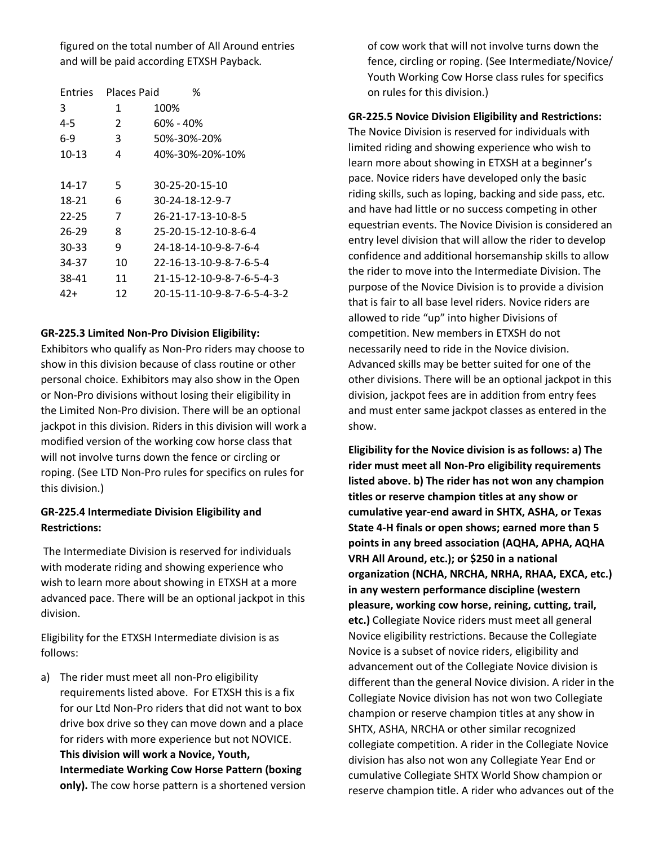figured on the total number of All Around entries and will be paid according ETXSH Payback.

| Places Paid   | ℅                           |
|---------------|-----------------------------|
| 1             | 100%                        |
| $\mathcal{P}$ | 60% - 40%                   |
| 3             | 50%-30%-20%                 |
| 4             | 40%-30%-20%-10%             |
|               |                             |
| 5             | 30-25-20-15-10              |
| 6             | 30-24-18-12-9-7             |
| 7             | 26-21-17-13-10-8-5          |
| 8             | 25-20-15-12-10-8-6-4        |
| 9             | 24-18-14-10-9-8-7-6-4       |
| 10            | 22-16-13-10-9-8-7-6-5-4     |
| 11            | 21-15-12-10-9-8-7-6-5-4-3   |
| 12            | 20-15-11-10-9-8-7-6-5-4-3-2 |
|               |                             |

#### **GR-225.3 Limited Non-Pro Division Eligibility:**

Exhibitors who qualify as Non-Pro riders may choose to show in this division because of class routine or other personal choice. Exhibitors may also show in the Open or Non-Pro divisions without losing their eligibility in the Limited Non-Pro division. There will be an optional jackpot in this division. Riders in this division will work a modified version of the working cow horse class that will not involve turns down the fence or circling or roping. (See LTD Non-Pro rules for specifics on rules for this division.)

### **GR-225.4 Intermediate Division Eligibility and Restrictions:**

The Intermediate Division is reserved for individuals with moderate riding and showing experience who wish to learn more about showing in ETXSH at a more advanced pace. There will be an optional jackpot in this division.

Eligibility for the ETXSH Intermediate division is as follows:

a) The rider must meet all non-Pro eligibility requirements listed above. For ETXSH this is a fix for our Ltd Non-Pro riders that did not want to box drive box drive so they can move down and a place for riders with more experience but not NOVICE. **This division will work a Novice, Youth, Intermediate Working Cow Horse Pattern (boxing only).** The cow horse pattern is a shortened version

of cow work that will not involve turns down the fence, circling or roping. (See Intermediate/Novice/ Youth Working Cow Horse class rules for specifics on rules for this division.)

#### **GR-225.5 Novice Division Eligibility and Restrictions:**

The Novice Division is reserved for individuals with limited riding and showing experience who wish to learn more about showing in ETXSH at a beginner's pace. Novice riders have developed only the basic riding skills, such as loping, backing and side pass, etc. and have had little or no success competing in other equestrian events. The Novice Division is considered an entry level division that will allow the rider to develop confidence and additional horsemanship skills to allow the rider to move into the Intermediate Division. The purpose of the Novice Division is to provide a division that is fair to all base level riders. Novice riders are allowed to ride "up" into higher Divisions of competition. New members in ETXSH do not necessarily need to ride in the Novice division. Advanced skills may be better suited for one of the other divisions. There will be an optional jackpot in this division, jackpot fees are in addition from entry fees and must enter same jackpot classes as entered in the show.

**Eligibility for the Novice division is as follows: a) The rider must meet all Non-Pro eligibility requirements listed above. b) The rider has not won any champion titles or reserve champion titles at any show or cumulative year-end award in SHTX, ASHA, or Texas State 4-H finals or open shows; earned more than 5 points in any breed association (AQHA, APHA, AQHA VRH All Around, etc.); or \$250 in a national organization (NCHA, NRCHA, NRHA, RHAA, EXCA, etc.) in any western performance discipline (western pleasure, working cow horse, reining, cutting, trail, etc.)** Collegiate Novice riders must meet all general Novice eligibility restrictions. Because the Collegiate Novice is a subset of novice riders, eligibility and advancement out of the Collegiate Novice division is different than the general Novice division. A rider in the Collegiate Novice division has not won two Collegiate champion or reserve champion titles at any show in SHTX, ASHA, NRCHA or other similar recognized collegiate competition. A rider in the Collegiate Novice division has also not won any Collegiate Year End or cumulative Collegiate SHTX World Show champion or reserve champion title. A rider who advances out of the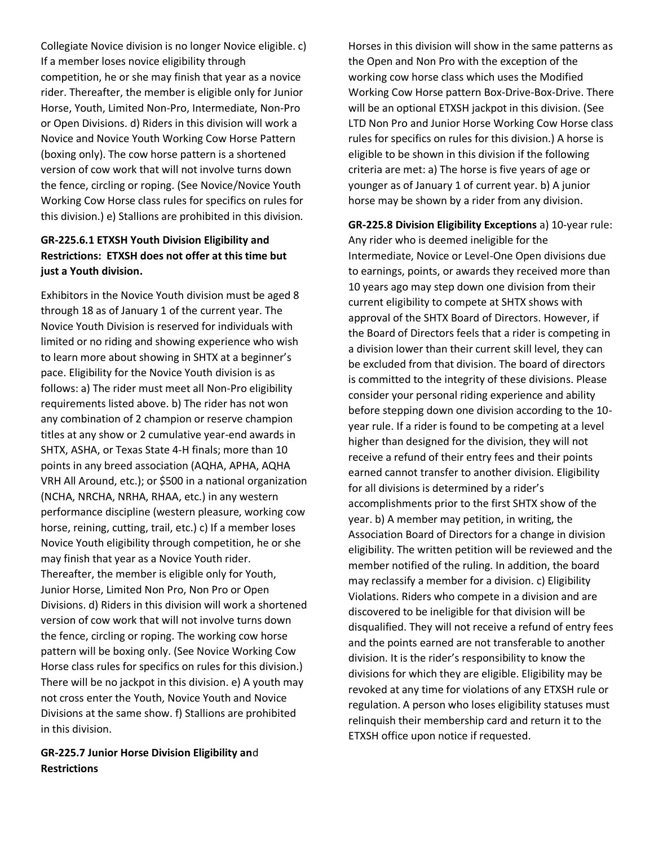Collegiate Novice division is no longer Novice eligible. c) If a member loses novice eligibility through competition, he or she may finish that year as a novice rider. Thereafter, the member is eligible only for Junior Horse, Youth, Limited Non-Pro, Intermediate, Non-Pro or Open Divisions. d) Riders in this division will work a Novice and Novice Youth Working Cow Horse Pattern (boxing only). The cow horse pattern is a shortened version of cow work that will not involve turns down the fence, circling or roping. (See Novice/Novice Youth Working Cow Horse class rules for specifics on rules for this division.) e) Stallions are prohibited in this division.

### **GR-225.6.1 ETXSH Youth Division Eligibility and Restrictions: ETXSH does not offer at this time but just a Youth division.**

Exhibitors in the Novice Youth division must be aged 8 through 18 as of January 1 of the current year. The Novice Youth Division is reserved for individuals with limited or no riding and showing experience who wish to learn more about showing in SHTX at a beginner's pace. Eligibility for the Novice Youth division is as follows: a) The rider must meet all Non-Pro eligibility requirements listed above. b) The rider has not won any combination of 2 champion or reserve champion titles at any show or 2 cumulative year-end awards in SHTX, ASHA, or Texas State 4-H finals; more than 10 points in any breed association (AQHA, APHA, AQHA VRH All Around, etc.); or \$500 in a national organization (NCHA, NRCHA, NRHA, RHAA, etc.) in any western performance discipline (western pleasure, working cow horse, reining, cutting, trail, etc.) c) If a member loses Novice Youth eligibility through competition, he or she may finish that year as a Novice Youth rider. Thereafter, the member is eligible only for Youth, Junior Horse, Limited Non Pro, Non Pro or Open Divisions. d) Riders in this division will work a shortened version of cow work that will not involve turns down the fence, circling or roping. The working cow horse pattern will be boxing only. (See Novice Working Cow Horse class rules for specifics on rules for this division.) There will be no jackpot in this division. e) A youth may not cross enter the Youth, Novice Youth and Novice Divisions at the same show. f) Stallions are prohibited in this division.

**GR-225.7 Junior Horse Division Eligibility an**d **Restrictions**

Horses in this division will show in the same patterns as the Open and Non Pro with the exception of the working cow horse class which uses the Modified Working Cow Horse pattern Box-Drive-Box-Drive. There will be an optional ETXSH jackpot in this division. (See LTD Non Pro and Junior Horse Working Cow Horse class rules for specifics on rules for this division.) A horse is eligible to be shown in this division if the following criteria are met: a) The horse is five years of age or younger as of January 1 of current year. b) A junior horse may be shown by a rider from any division.

**GR-225.8 Division Eligibility Exceptions** a) 10-year rule: Any rider who is deemed ineligible for the Intermediate, Novice or Level-One Open divisions due to earnings, points, or awards they received more than 10 years ago may step down one division from their current eligibility to compete at SHTX shows with approval of the SHTX Board of Directors. However, if the Board of Directors feels that a rider is competing in a division lower than their current skill level, they can be excluded from that division. The board of directors is committed to the integrity of these divisions. Please consider your personal riding experience and ability before stepping down one division according to the 10 year rule. If a rider is found to be competing at a level higher than designed for the division, they will not receive a refund of their entry fees and their points earned cannot transfer to another division. Eligibility for all divisions is determined by a rider's accomplishments prior to the first SHTX show of the year. b) A member may petition, in writing, the Association Board of Directors for a change in division eligibility. The written petition will be reviewed and the member notified of the ruling. In addition, the board may reclassify a member for a division. c) Eligibility Violations. Riders who compete in a division and are discovered to be ineligible for that division will be disqualified. They will not receive a refund of entry fees and the points earned are not transferable to another division. It is the rider's responsibility to know the divisions for which they are eligible. Eligibility may be revoked at any time for violations of any ETXSH rule or regulation. A person who loses eligibility statuses must relinquish their membership card and return it to the ETXSH office upon notice if requested.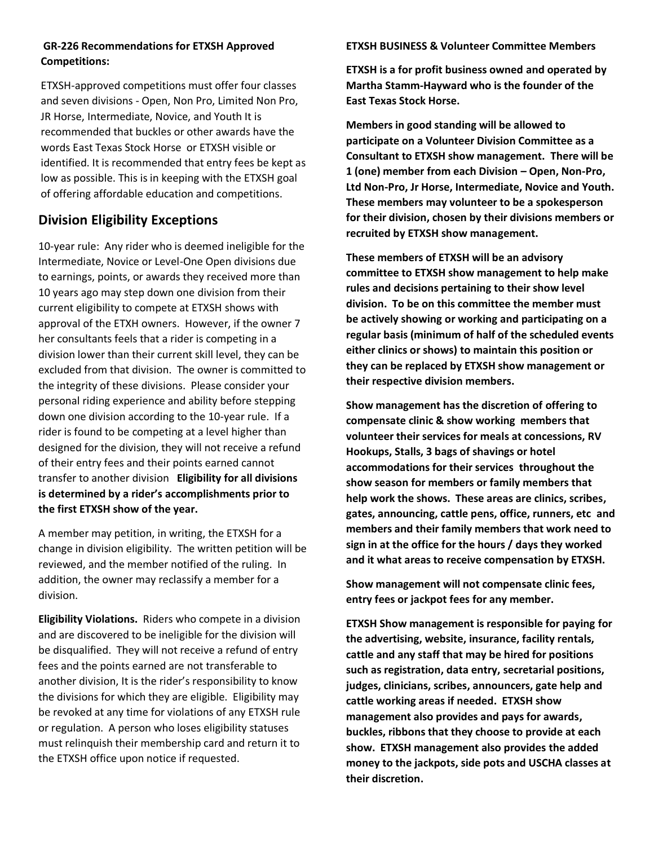### **GR-226 Recommendations for ETXSH Approved Competitions:**

ETXSH-approved competitions must offer four classes and seven divisions - Open, Non Pro, Limited Non Pro, JR Horse, Intermediate, Novice, and Youth It is recommended that buckles or other awards have the words East Texas Stock Horse or ETXSH visible or identified. It is recommended that entry fees be kept as low as possible. This is in keeping with the ETXSH goal of offering affordable education and competitions.

# **Division Eligibility Exceptions**

10-year rule: Any rider who is deemed ineligible for the Intermediate, Novice or Level-One Open divisions due to earnings, points, or awards they received more than 10 years ago may step down one division from their current eligibility to compete at ETXSH shows with approval of the ETXH owners. However, if the owner 7 her consultants feels that a rider is competing in a division lower than their current skill level, they can be excluded from that division. The owner is committed to the integrity of these divisions. Please consider your personal riding experience and ability before stepping down one division according to the 10-year rule. If a rider is found to be competing at a level higher than designed for the division, they will not receive a refund of their entry fees and their points earned cannot transfer to another division **Eligibility for all divisions is determined by a rider's accomplishments prior to the first ETXSH show of the year.**

A member may petition, in writing, the ETXSH for a change in division eligibility. The written petition will be reviewed, and the member notified of the ruling. In addition, the owner may reclassify a member for a division.

**Eligibility Violations.** Riders who compete in a division and are discovered to be ineligible for the division will be disqualified. They will not receive a refund of entry fees and the points earned are not transferable to another division, It is the rider's responsibility to know the divisions for which they are eligible. Eligibility may be revoked at any time for violations of any ETXSH rule or regulation. A person who loses eligibility statuses must relinquish their membership card and return it to the ETXSH office upon notice if requested.

### **ETXSH BUSINESS & Volunteer Committee Members**

**ETXSH is a for profit business owned and operated by Martha Stamm-Hayward who is the founder of the East Texas Stock Horse.**

**Members in good standing will be allowed to participate on a Volunteer Division Committee as a Consultant to ETXSH show management. There will be 1 (one) member from each Division – Open, Non-Pro, Ltd Non-Pro, Jr Horse, Intermediate, Novice and Youth. These members may volunteer to be a spokesperson for their division, chosen by their divisions members or recruited by ETXSH show management.** 

**These members of ETXSH will be an advisory committee to ETXSH show management to help make rules and decisions pertaining to their show level division. To be on this committee the member must be actively showing or working and participating on a regular basis (minimum of half of the scheduled events either clinics or shows) to maintain this position or they can be replaced by ETXSH show management or their respective division members.** 

**Show management has the discretion of offering to compensate clinic & show working members that volunteer their services for meals at concessions, RV Hookups, Stalls, 3 bags of shavings or hotel accommodations for their services throughout the show season for members or family members that help work the shows. These areas are clinics, scribes, gates, announcing, cattle pens, office, runners, etc and members and their family members that work need to sign in at the office for the hours / days they worked and it what areas to receive compensation by ETXSH.** 

**Show management will not compensate clinic fees, entry fees or jackpot fees for any member.**

**ETXSH Show management is responsible for paying for the advertising, website, insurance, facility rentals, cattle and any staff that may be hired for positions such as registration, data entry, secretarial positions, judges, clinicians, scribes, announcers, gate help and cattle working areas if needed. ETXSH show management also provides and pays for awards, buckles, ribbons that they choose to provide at each show. ETXSH management also provides the added money to the jackpots, side pots and USCHA classes at their discretion.**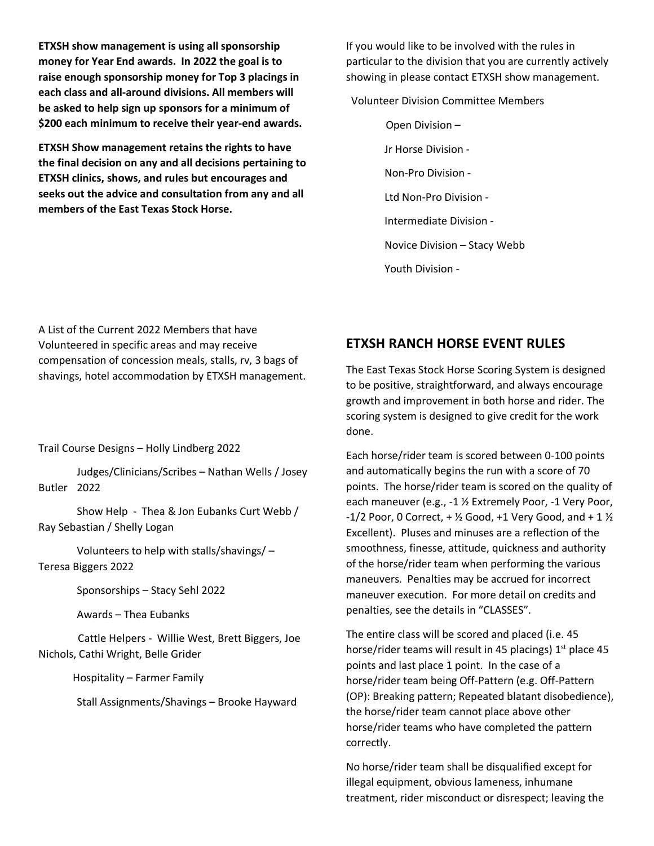**ETXSH show management is using all sponsorship money for Year End awards. In 2022 the goal is to raise enough sponsorship money for Top 3 placings in each class and all-around divisions. All members will be asked to help sign up sponsors for a minimum of \$200 each minimum to receive their year-end awards.**

**ETXSH Show management retains the rights to have the final decision on any and all decisions pertaining to ETXSH clinics, shows, and rules but encourages and seeks out the advice and consultation from any and all members of the East Texas Stock Horse.** 

If you would like to be involved with the rules in particular to the division that you are currently actively showing in please contact ETXSH show management.

Volunteer Division Committee Members

 Open Division – Jr Horse Division - Non-Pro Division - Ltd Non-Pro Division - Intermediate Division - Novice Division – Stacy Webb Youth Division -

A List of the Current 2022 Members that have Volunteered in specific areas and may receive compensation of concession meals, stalls, rv, 3 bags of shavings, hotel accommodation by ETXSH management.

Trail Course Designs – Holly Lindberg 2022

Judges/Clinicians/Scribes – Nathan Wells / Josey Butler 2022

Show Help - Thea & Jon Eubanks Curt Webb / Ray Sebastian / Shelly Logan

Volunteers to help with stalls/shavings/ – Teresa Biggers 2022

Sponsorships – Stacy Sehl 2022

Awards – Thea Eubanks

 Cattle Helpers - Willie West, Brett Biggers, Joe Nichols, Cathi Wright, Belle Grider

Hospitality – Farmer Family

Stall Assignments/Shavings – Brooke Hayward

# **ETXSH RANCH HORSE EVENT RULES**

The East Texas Stock Horse Scoring System is designed to be positive, straightforward, and always encourage growth and improvement in both horse and rider. The scoring system is designed to give credit for the work done.

Each horse/rider team is scored between 0-100 points and automatically begins the run with a score of 70 points. The horse/rider team is scored on the quality of each maneuver (e.g., -1 ½ Extremely Poor, -1 Very Poor,  $-1/2$  Poor, 0 Correct,  $+$  <sup> $\frac{1}{2}$ </sup> Good,  $+1$  Very Good, and  $+1$   $\frac{1}{2}$ Excellent). Pluses and minuses are a reflection of the smoothness, finesse, attitude, quickness and authority of the horse/rider team when performing the various maneuvers. Penalties may be accrued for incorrect maneuver execution. For more detail on credits and penalties, see the details in "CLASSES".

The entire class will be scored and placed (i.e. 45 horse/rider teams will result in 45 placings)  $1<sup>st</sup>$  place 45 points and last place 1 point. In the case of a horse/rider team being Off-Pattern (e.g. Off-Pattern (OP): Breaking pattern; Repeated blatant disobedience), the horse/rider team cannot place above other horse/rider teams who have completed the pattern correctly.

No horse/rider team shall be disqualified except for illegal equipment, obvious lameness, inhumane treatment, rider misconduct or disrespect; leaving the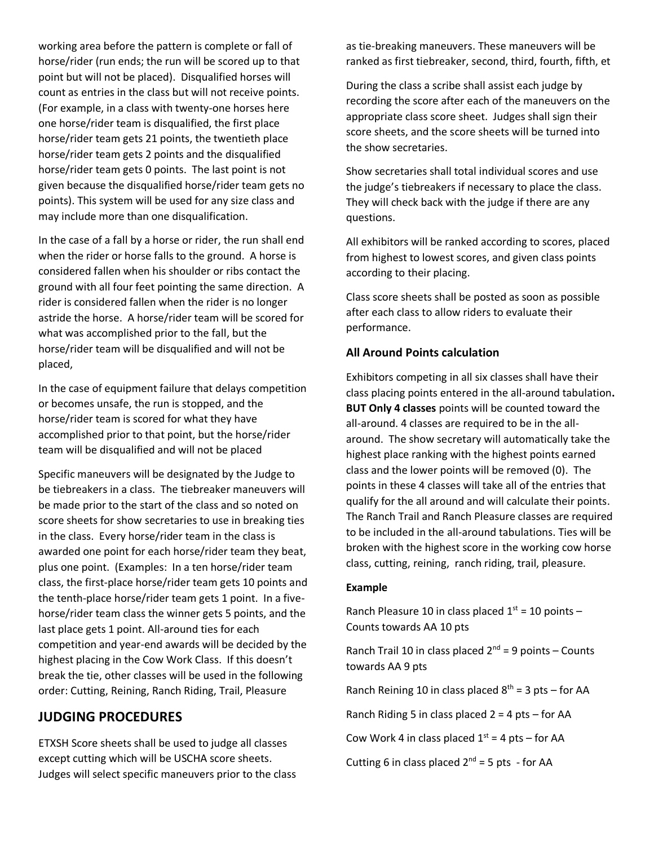working area before the pattern is complete or fall of horse/rider (run ends; the run will be scored up to that point but will not be placed). Disqualified horses will count as entries in the class but will not receive points. (For example, in a class with twenty-one horses here one horse/rider team is disqualified, the first place horse/rider team gets 21 points, the twentieth place horse/rider team gets 2 points and the disqualified horse/rider team gets 0 points. The last point is not given because the disqualified horse/rider team gets no points). This system will be used for any size class and may include more than one disqualification.

In the case of a fall by a horse or rider, the run shall end when the rider or horse falls to the ground. A horse is considered fallen when his shoulder or ribs contact the ground with all four feet pointing the same direction. A rider is considered fallen when the rider is no longer astride the horse. A horse/rider team will be scored for what was accomplished prior to the fall, but the horse/rider team will be disqualified and will not be placed,

In the case of equipment failure that delays competition or becomes unsafe, the run is stopped, and the horse/rider team is scored for what they have accomplished prior to that point, but the horse/rider team will be disqualified and will not be placed

Specific maneuvers will be designated by the Judge to be tiebreakers in a class. The tiebreaker maneuvers will be made prior to the start of the class and so noted on score sheets for show secretaries to use in breaking ties in the class. Every horse/rider team in the class is awarded one point for each horse/rider team they beat, plus one point. (Examples: In a ten horse/rider team class, the first-place horse/rider team gets 10 points and the tenth-place horse/rider team gets 1 point. In a fivehorse/rider team class the winner gets 5 points, and the last place gets 1 point. All-around ties for each competition and year-end awards will be decided by the highest placing in the Cow Work Class. If this doesn't break the tie, other classes will be used in the following order: Cutting, Reining, Ranch Riding, Trail, Pleasure

## **JUDGING PROCEDURES**

ETXSH Score sheets shall be used to judge all classes except cutting which will be USCHA score sheets. Judges will select specific maneuvers prior to the class as tie-breaking maneuvers. These maneuvers will be ranked as first tiebreaker, second, third, fourth, fifth, et

During the class a scribe shall assist each judge by recording the score after each of the maneuvers on the appropriate class score sheet. Judges shall sign their score sheets, and the score sheets will be turned into the show secretaries.

Show secretaries shall total individual scores and use the judge's tiebreakers if necessary to place the class. They will check back with the judge if there are any questions.

All exhibitors will be ranked according to scores, placed from highest to lowest scores, and given class points according to their placing.

Class score sheets shall be posted as soon as possible after each class to allow riders to evaluate their performance.

### **All Around Points calculation**

Exhibitors competing in all six classes shall have their class placing points entered in the all-around tabulation**. BUT Only 4 classes** points will be counted toward the all-around. 4 classes are required to be in the allaround. The show secretary will automatically take the highest place ranking with the highest points earned class and the lower points will be removed (0). The points in these 4 classes will take all of the entries that qualify for the all around and will calculate their points. The Ranch Trail and Ranch Pleasure classes are required to be included in the all-around tabulations. Ties will be broken with the highest score in the working cow horse class, cutting, reining, ranch riding, trail, pleasure.

### **Example**

Ranch Pleasure 10 in class placed  $1<sup>st</sup> = 10$  points -Counts towards AA 10 pts

Ranch Trail 10 in class placed  $2^{nd} = 9$  points – Counts towards AA 9 pts

Ranch Reining 10 in class placed  $8<sup>th</sup> = 3$  pts – for AA

Ranch Riding 5 in class placed  $2 = 4$  pts – for AA

Cow Work 4 in class placed  $1<sup>st</sup> = 4$  pts – for AA

Cutting 6 in class placed  $2^{nd} = 5$  pts - for AA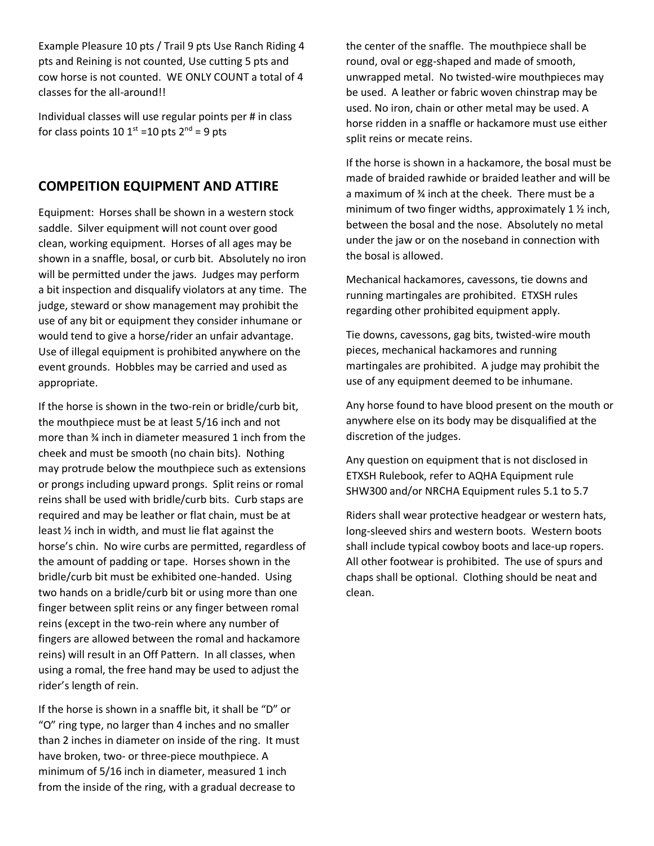Example Pleasure 10 pts / Trail 9 pts Use Ranch Riding 4 pts and Reining is not counted, Use cutting 5 pts and cow horse is not counted. WE ONLY COUNT a total of 4 classes for the all-around!!

Individual classes will use regular points per # in class for class points 10  $1^{\text{st}}$  =10 pts  $2^{\text{nd}}$  = 9 pts

# **COMPEITION EQUIPMENT AND ATTIRE**

Equipment: Horses shall be shown in a western stock saddle. Silver equipment will not count over good clean, working equipment. Horses of all ages may be shown in a snaffle, bosal, or curb bit. Absolutely no iron will be permitted under the jaws. Judges may perform a bit inspection and disqualify violators at any time. The judge, steward or show management may prohibit the use of any bit or equipment they consider inhumane or would tend to give a horse/rider an unfair advantage. Use of illegal equipment is prohibited anywhere on the event grounds. Hobbles may be carried and used as appropriate.

If the horse is shown in the two-rein or bridle/curb bit, the mouthpiece must be at least 5/16 inch and not more than ¾ inch in diameter measured 1 inch from the cheek and must be smooth (no chain bits). Nothing may protrude below the mouthpiece such as extensions or prongs including upward prongs. Split reins or romal reins shall be used with bridle/curb bits. Curb staps are required and may be leather or flat chain, must be at least ½ inch in width, and must lie flat against the horse's chin. No wire curbs are permitted, regardless of the amount of padding or tape. Horses shown in the bridle/curb bit must be exhibited one-handed. Using two hands on a bridle/curb bit or using more than one finger between split reins or any finger between romal reins (except in the two-rein where any number of fingers are allowed between the romal and hackamore reins) will result in an Off Pattern. In all classes, when using a romal, the free hand may be used to adjust the rider's length of rein.

If the horse is shown in a snaffle bit, it shall be "D" or "O" ring type, no larger than 4 inches and no smaller than 2 inches in diameter on inside of the ring. It must have broken, two- or three-piece mouthpiece. A minimum of 5/16 inch in diameter, measured 1 inch from the inside of the ring, with a gradual decrease to

the center of the snaffle. The mouthpiece shall be round, oval or egg-shaped and made of smooth, unwrapped metal. No twisted-wire mouthpieces may be used. A leather or fabric woven chinstrap may be used. No iron, chain or other metal may be used. A horse ridden in a snaffle or hackamore must use either split reins or mecate reins.

If the horse is shown in a hackamore, the bosal must be made of braided rawhide or braided leather and will be a maximum of ¾ inch at the cheek. There must be a minimum of two finger widths, approximately 1 ½ inch, between the bosal and the nose. Absolutely no metal under the jaw or on the noseband in connection with the bosal is allowed.

Mechanical hackamores, cavessons, tie downs and running martingales are prohibited. ETXSH rules regarding other prohibited equipment apply.

Tie downs, cavessons, gag bits, twisted-wire mouth pieces, mechanical hackamores and running martingales are prohibited. A judge may prohibit the use of any equipment deemed to be inhumane.

Any horse found to have blood present on the mouth or anywhere else on its body may be disqualified at the discretion of the judges.

Any question on equipment that is not disclosed in ETXSH Rulebook, refer to AQHA Equipment rule SHW300 and/or NRCHA Equipment rules 5.1 to 5.7

Riders shall wear protective headgear or western hats, long-sleeved shirs and western boots. Western boots shall include typical cowboy boots and lace-up ropers. All other footwear is prohibited. The use of spurs and chaps shall be optional. Clothing should be neat and clean.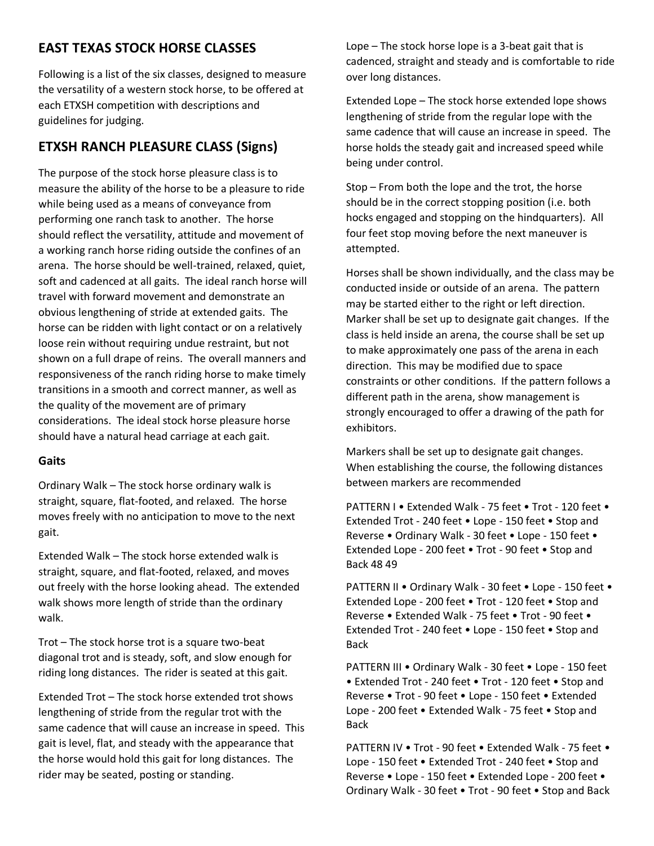# **EAST TEXAS STOCK HORSE CLASSES**

Following is a list of the six classes, designed to measure the versatility of a western stock horse, to be offered at each ETXSH competition with descriptions and guidelines for judging.

# **ETXSH RANCH PLEASURE CLASS (Signs)**

The purpose of the stock horse pleasure class is to measure the ability of the horse to be a pleasure to ride while being used as a means of conveyance from performing one ranch task to another. The horse should reflect the versatility, attitude and movement of a working ranch horse riding outside the confines of an arena. The horse should be well-trained, relaxed, quiet, soft and cadenced at all gaits. The ideal ranch horse will travel with forward movement and demonstrate an obvious lengthening of stride at extended gaits. The horse can be ridden with light contact or on a relatively loose rein without requiring undue restraint, but not shown on a full drape of reins. The overall manners and responsiveness of the ranch riding horse to make timely transitions in a smooth and correct manner, as well as the quality of the movement are of primary considerations. The ideal stock horse pleasure horse should have a natural head carriage at each gait.

### **Gaits**

Ordinary Walk – The stock horse ordinary walk is straight, square, flat-footed, and relaxed. The horse moves freely with no anticipation to move to the next gait.

Extended Walk – The stock horse extended walk is straight, square, and flat-footed, relaxed, and moves out freely with the horse looking ahead. The extended walk shows more length of stride than the ordinary walk.

Trot – The stock horse trot is a square two-beat diagonal trot and is steady, soft, and slow enough for riding long distances. The rider is seated at this gait.

Extended Trot – The stock horse extended trot shows lengthening of stride from the regular trot with the same cadence that will cause an increase in speed. This gait is level, flat, and steady with the appearance that the horse would hold this gait for long distances. The rider may be seated, posting or standing.

Lope – The stock horse lope is a 3-beat gait that is cadenced, straight and steady and is comfortable to ride over long distances.

Extended Lope – The stock horse extended lope shows lengthening of stride from the regular lope with the same cadence that will cause an increase in speed. The horse holds the steady gait and increased speed while being under control.

Stop – From both the lope and the trot, the horse should be in the correct stopping position (i.e. both hocks engaged and stopping on the hindquarters). All four feet stop moving before the next maneuver is attempted.

Horses shall be shown individually, and the class may be conducted inside or outside of an arena. The pattern may be started either to the right or left direction. Marker shall be set up to designate gait changes. If the class is held inside an arena, the course shall be set up to make approximately one pass of the arena in each direction. This may be modified due to space constraints or other conditions. If the pattern follows a different path in the arena, show management is strongly encouraged to offer a drawing of the path for exhibitors.

Markers shall be set up to designate gait changes. When establishing the course, the following distances between markers are recommended

PATTERN I • Extended Walk - 75 feet • Trot - 120 feet • Extended Trot - 240 feet • Lope - 150 feet • Stop and Reverse • Ordinary Walk - 30 feet • Lope - 150 feet • Extended Lope - 200 feet • Trot - 90 feet • Stop and Back 48 49

PATTERN II . Ordinary Walk - 30 feet . Lope - 150 feet . Extended Lope - 200 feet • Trot - 120 feet • Stop and Reverse • Extended Walk - 75 feet • Trot - 90 feet • Extended Trot - 240 feet • Lope - 150 feet • Stop and Back

PATTERN III • Ordinary Walk - 30 feet • Lope - 150 feet • Extended Trot - 240 feet • Trot - 120 feet • Stop and Reverse • Trot - 90 feet • Lope - 150 feet • Extended Lope - 200 feet • Extended Walk - 75 feet • Stop and Back

PATTERN IV • Trot - 90 feet • Extended Walk - 75 feet • Lope - 150 feet • Extended Trot - 240 feet • Stop and Reverse • Lope - 150 feet • Extended Lope - 200 feet • Ordinary Walk - 30 feet • Trot - 90 feet • Stop and Back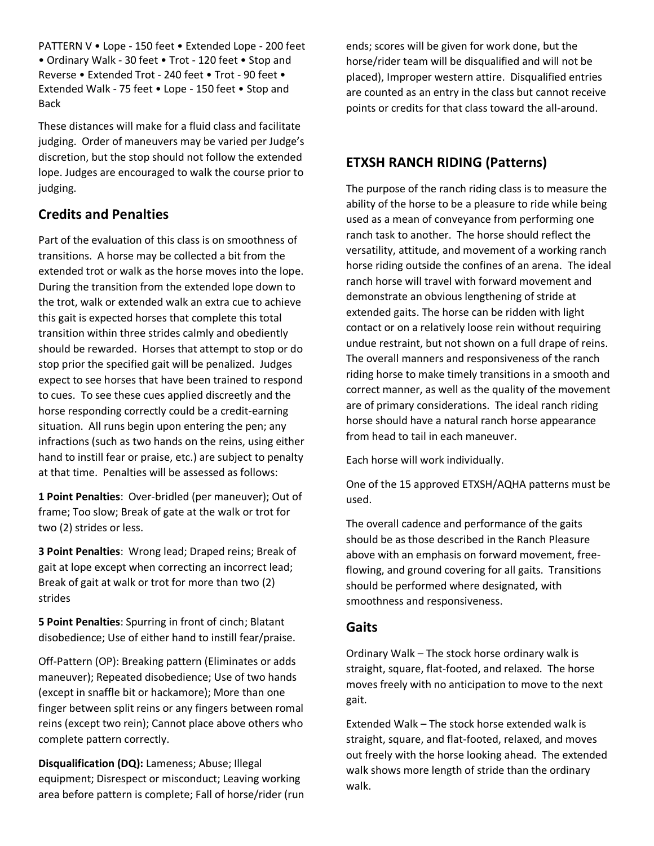PATTERN V • Lope - 150 feet • Extended Lope - 200 feet • Ordinary Walk - 30 feet • Trot - 120 feet • Stop and Reverse • Extended Trot - 240 feet • Trot - 90 feet • Extended Walk - 75 feet • Lope - 150 feet • Stop and Back

These distances will make for a fluid class and facilitate judging. Order of maneuvers may be varied per Judge's discretion, but the stop should not follow the extended lope. Judges are encouraged to walk the course prior to judging.

# **Credits and Penalties**

Part of the evaluation of this class is on smoothness of transitions. A horse may be collected a bit from the extended trot or walk as the horse moves into the lope. During the transition from the extended lope down to the trot, walk or extended walk an extra cue to achieve this gait is expected horses that complete this total transition within three strides calmly and obediently should be rewarded. Horses that attempt to stop or do stop prior the specified gait will be penalized. Judges expect to see horses that have been trained to respond to cues. To see these cues applied discreetly and the horse responding correctly could be a credit-earning situation. All runs begin upon entering the pen; any infractions (such as two hands on the reins, using either hand to instill fear or praise, etc.) are subject to penalty at that time. Penalties will be assessed as follows:

**1 Point Penalties**: Over-bridled (per maneuver); Out of frame; Too slow; Break of gate at the walk or trot for two (2) strides or less.

**3 Point Penalties**: Wrong lead; Draped reins; Break of gait at lope except when correcting an incorrect lead; Break of gait at walk or trot for more than two (2) strides

**5 Point Penalties**: Spurring in front of cinch; Blatant disobedience; Use of either hand to instill fear/praise.

Off-Pattern (OP): Breaking pattern (Eliminates or adds maneuver); Repeated disobedience; Use of two hands (except in snaffle bit or hackamore); More than one finger between split reins or any fingers between romal reins (except two rein); Cannot place above others who complete pattern correctly.

**Disqualification (DQ):** Lameness; Abuse; Illegal equipment; Disrespect or misconduct; Leaving working area before pattern is complete; Fall of horse/rider (run ends; scores will be given for work done, but the horse/rider team will be disqualified and will not be placed), Improper western attire. Disqualified entries are counted as an entry in the class but cannot receive points or credits for that class toward the all-around.

# **ETXSH RANCH RIDING (Patterns)**

The purpose of the ranch riding class is to measure the ability of the horse to be a pleasure to ride while being used as a mean of conveyance from performing one ranch task to another. The horse should reflect the versatility, attitude, and movement of a working ranch horse riding outside the confines of an arena. The ideal ranch horse will travel with forward movement and demonstrate an obvious lengthening of stride at extended gaits. The horse can be ridden with light contact or on a relatively loose rein without requiring undue restraint, but not shown on a full drape of reins. The overall manners and responsiveness of the ranch riding horse to make timely transitions in a smooth and correct manner, as well as the quality of the movement are of primary considerations. The ideal ranch riding horse should have a natural ranch horse appearance from head to tail in each maneuver.

Each horse will work individually.

One of the 15 approved ETXSH/AQHA patterns must be used.

The overall cadence and performance of the gaits should be as those described in the Ranch Pleasure above with an emphasis on forward movement, freeflowing, and ground covering for all gaits. Transitions should be performed where designated, with smoothness and responsiveness.

# **Gaits**

Ordinary Walk – The stock horse ordinary walk is straight, square, flat-footed, and relaxed. The horse moves freely with no anticipation to move to the next gait.

Extended Walk – The stock horse extended walk is straight, square, and flat-footed, relaxed, and moves out freely with the horse looking ahead. The extended walk shows more length of stride than the ordinary walk.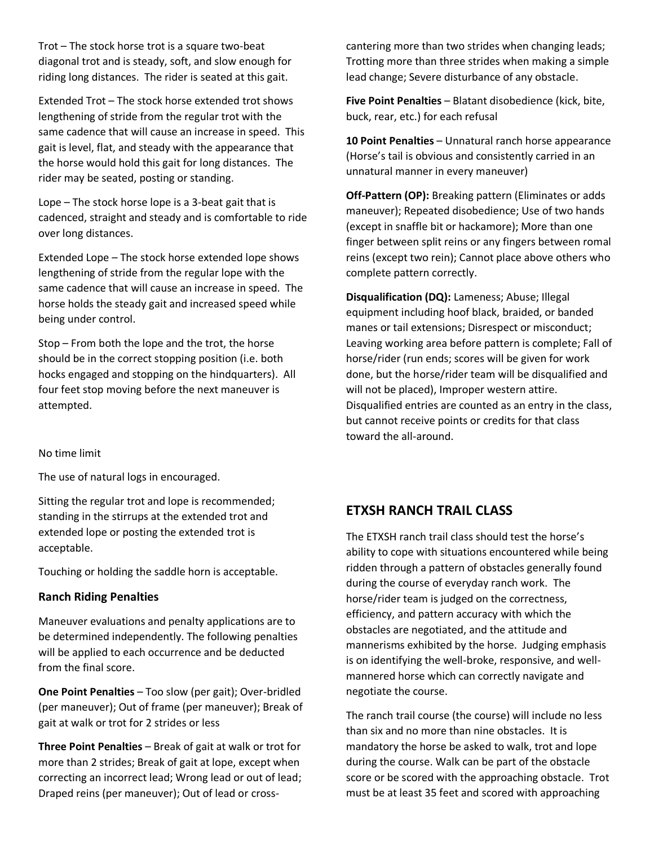Trot – The stock horse trot is a square two-beat diagonal trot and is steady, soft, and slow enough for riding long distances. The rider is seated at this gait.

Extended Trot – The stock horse extended trot shows lengthening of stride from the regular trot with the same cadence that will cause an increase in speed. This gait is level, flat, and steady with the appearance that the horse would hold this gait for long distances. The rider may be seated, posting or standing.

Lope – The stock horse lope is a 3-beat gait that is cadenced, straight and steady and is comfortable to ride over long distances.

Extended Lope – The stock horse extended lope shows lengthening of stride from the regular lope with the same cadence that will cause an increase in speed. The horse holds the steady gait and increased speed while being under control.

Stop – From both the lope and the trot, the horse should be in the correct stopping position (i.e. both hocks engaged and stopping on the hindquarters). All four feet stop moving before the next maneuver is attempted.

#### No time limit

The use of natural logs in encouraged.

Sitting the regular trot and lope is recommended; standing in the stirrups at the extended trot and extended lope or posting the extended trot is acceptable.

Touching or holding the saddle horn is acceptable.

#### **Ranch Riding Penalties**

Maneuver evaluations and penalty applications are to be determined independently. The following penalties will be applied to each occurrence and be deducted from the final score.

**One Point Penalties** – Too slow (per gait); Over-bridled (per maneuver); Out of frame (per maneuver); Break of gait at walk or trot for 2 strides or less

**Three Point Penalties** – Break of gait at walk or trot for more than 2 strides; Break of gait at lope, except when correcting an incorrect lead; Wrong lead or out of lead; Draped reins (per maneuver); Out of lead or crosscantering more than two strides when changing leads; Trotting more than three strides when making a simple lead change; Severe disturbance of any obstacle.

**Five Point Penalties** – Blatant disobedience (kick, bite, buck, rear, etc.) for each refusal

**10 Point Penalties** – Unnatural ranch horse appearance (Horse's tail is obvious and consistently carried in an unnatural manner in every maneuver)

**Off-Pattern (OP):** Breaking pattern (Eliminates or adds maneuver); Repeated disobedience; Use of two hands (except in snaffle bit or hackamore); More than one finger between split reins or any fingers between romal reins (except two rein); Cannot place above others who complete pattern correctly.

**Disqualification (DQ):** Lameness; Abuse; Illegal equipment including hoof black, braided, or banded manes or tail extensions; Disrespect or misconduct; Leaving working area before pattern is complete; Fall of horse/rider (run ends; scores will be given for work done, but the horse/rider team will be disqualified and will not be placed), Improper western attire. Disqualified entries are counted as an entry in the class, but cannot receive points or credits for that class toward the all-around.

### **ETXSH RANCH TRAIL CLASS**

The ETXSH ranch trail class should test the horse's ability to cope with situations encountered while being ridden through a pattern of obstacles generally found during the course of everyday ranch work. The horse/rider team is judged on the correctness, efficiency, and pattern accuracy with which the obstacles are negotiated, and the attitude and mannerisms exhibited by the horse. Judging emphasis is on identifying the well-broke, responsive, and wellmannered horse which can correctly navigate and negotiate the course.

The ranch trail course (the course) will include no less than six and no more than nine obstacles. It is mandatory the horse be asked to walk, trot and lope during the course. Walk can be part of the obstacle score or be scored with the approaching obstacle. Trot must be at least 35 feet and scored with approaching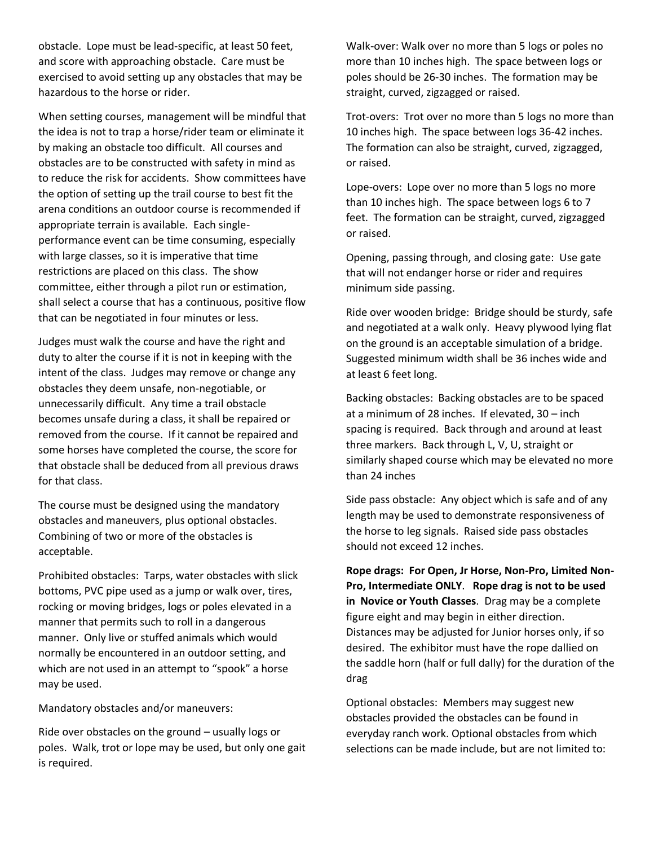obstacle. Lope must be lead-specific, at least 50 feet, and score with approaching obstacle. Care must be exercised to avoid setting up any obstacles that may be hazardous to the horse or rider.

When setting courses, management will be mindful that the idea is not to trap a horse/rider team or eliminate it by making an obstacle too difficult. All courses and obstacles are to be constructed with safety in mind as to reduce the risk for accidents. Show committees have the option of setting up the trail course to best fit the arena conditions an outdoor course is recommended if appropriate terrain is available. Each singleperformance event can be time consuming, especially with large classes, so it is imperative that time restrictions are placed on this class. The show committee, either through a pilot run or estimation, shall select a course that has a continuous, positive flow that can be negotiated in four minutes or less.

Judges must walk the course and have the right and duty to alter the course if it is not in keeping with the intent of the class. Judges may remove or change any obstacles they deem unsafe, non-negotiable, or unnecessarily difficult. Any time a trail obstacle becomes unsafe during a class, it shall be repaired or removed from the course. If it cannot be repaired and some horses have completed the course, the score for that obstacle shall be deduced from all previous draws for that class.

The course must be designed using the mandatory obstacles and maneuvers, plus optional obstacles. Combining of two or more of the obstacles is acceptable.

Prohibited obstacles: Tarps, water obstacles with slick bottoms, PVC pipe used as a jump or walk over, tires, rocking or moving bridges, logs or poles elevated in a manner that permits such to roll in a dangerous manner. Only live or stuffed animals which would normally be encountered in an outdoor setting, and which are not used in an attempt to "spook" a horse may be used.

Mandatory obstacles and/or maneuvers:

Ride over obstacles on the ground – usually logs or poles. Walk, trot or lope may be used, but only one gait is required.

Walk-over: Walk over no more than 5 logs or poles no more than 10 inches high. The space between logs or poles should be 26-30 inches. The formation may be straight, curved, zigzagged or raised.

Trot-overs: Trot over no more than 5 logs no more than 10 inches high. The space between logs 36-42 inches. The formation can also be straight, curved, zigzagged, or raised.

Lope-overs: Lope over no more than 5 logs no more than 10 inches high. The space between logs 6 to 7 feet. The formation can be straight, curved, zigzagged or raised.

Opening, passing through, and closing gate: Use gate that will not endanger horse or rider and requires minimum side passing.

Ride over wooden bridge: Bridge should be sturdy, safe and negotiated at a walk only. Heavy plywood lying flat on the ground is an acceptable simulation of a bridge. Suggested minimum width shall be 36 inches wide and at least 6 feet long.

Backing obstacles: Backing obstacles are to be spaced at a minimum of 28 inches. If elevated, 30 – inch spacing is required. Back through and around at least three markers. Back through L, V, U, straight or similarly shaped course which may be elevated no more than 24 inches

Side pass obstacle: Any object which is safe and of any length may be used to demonstrate responsiveness of the horse to leg signals. Raised side pass obstacles should not exceed 12 inches.

**Rope drags: For Open, Jr Horse, Non-Pro, Limited Non-Pro, Intermediate ONLY**. **Rope drag is not to be used in Novice or Youth Classes**. Drag may be a complete figure eight and may begin in either direction. Distances may be adjusted for Junior horses only, if so desired. The exhibitor must have the rope dallied on the saddle horn (half or full dally) for the duration of the drag

Optional obstacles: Members may suggest new obstacles provided the obstacles can be found in everyday ranch work. Optional obstacles from which selections can be made include, but are not limited to: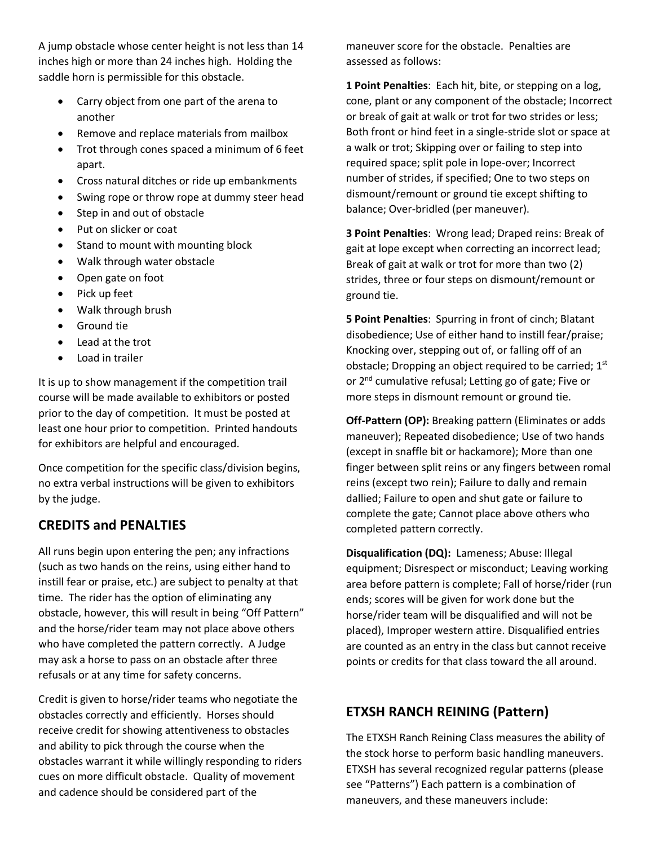A jump obstacle whose center height is not less than 14 inches high or more than 24 inches high. Holding the saddle horn is permissible for this obstacle.

- Carry object from one part of the arena to another
- Remove and replace materials from mailbox
- Trot through cones spaced a minimum of 6 feet apart.
- Cross natural ditches or ride up embankments
- Swing rope or throw rope at dummy steer head
- Step in and out of obstacle
- Put on slicker or coat
- Stand to mount with mounting block
- Walk through water obstacle
- Open gate on foot
- Pick up feet
- Walk through brush
- Ground tie
- Lead at the trot
- Load in trailer

It is up to show management if the competition trail course will be made available to exhibitors or posted prior to the day of competition. It must be posted at least one hour prior to competition. Printed handouts for exhibitors are helpful and encouraged.

Once competition for the specific class/division begins, no extra verbal instructions will be given to exhibitors by the judge.

# **CREDITS and PENALTIES**

All runs begin upon entering the pen; any infractions (such as two hands on the reins, using either hand to instill fear or praise, etc.) are subject to penalty at that time. The rider has the option of eliminating any obstacle, however, this will result in being "Off Pattern" and the horse/rider team may not place above others who have completed the pattern correctly. A Judge may ask a horse to pass on an obstacle after three refusals or at any time for safety concerns.

Credit is given to horse/rider teams who negotiate the obstacles correctly and efficiently. Horses should receive credit for showing attentiveness to obstacles and ability to pick through the course when the obstacles warrant it while willingly responding to riders cues on more difficult obstacle. Quality of movement and cadence should be considered part of the

maneuver score for the obstacle. Penalties are assessed as follows:

**1 Point Penalties**: Each hit, bite, or stepping on a log, cone, plant or any component of the obstacle; Incorrect or break of gait at walk or trot for two strides or less; Both front or hind feet in a single-stride slot or space at a walk or trot; Skipping over or failing to step into required space; split pole in lope-over; Incorrect number of strides, if specified; One to two steps on dismount/remount or ground tie except shifting to balance; Over-bridled (per maneuver).

**3 Point Penalties**: Wrong lead; Draped reins: Break of gait at lope except when correcting an incorrect lead; Break of gait at walk or trot for more than two (2) strides, three or four steps on dismount/remount or ground tie.

**5 Point Penalties**: Spurring in front of cinch; Blatant disobedience; Use of either hand to instill fear/praise; Knocking over, stepping out of, or falling off of an obstacle; Dropping an object required to be carried;  $1<sup>st</sup>$ or 2<sup>nd</sup> cumulative refusal; Letting go of gate; Five or more steps in dismount remount or ground tie.

**Off-Pattern (OP):** Breaking pattern (Eliminates or adds maneuver); Repeated disobedience; Use of two hands (except in snaffle bit or hackamore); More than one finger between split reins or any fingers between romal reins (except two rein); Failure to dally and remain dallied; Failure to open and shut gate or failure to complete the gate; Cannot place above others who completed pattern correctly.

**Disqualification (DQ):** Lameness; Abuse: Illegal equipment; Disrespect or misconduct; Leaving working area before pattern is complete; Fall of horse/rider (run ends; scores will be given for work done but the horse/rider team will be disqualified and will not be placed), Improper western attire. Disqualified entries are counted as an entry in the class but cannot receive points or credits for that class toward the all around.

# **ETXSH RANCH REINING (Pattern)**

The ETXSH Ranch Reining Class measures the ability of the stock horse to perform basic handling maneuvers. ETXSH has several recognized regular patterns (please see "Patterns") Each pattern is a combination of maneuvers, and these maneuvers include: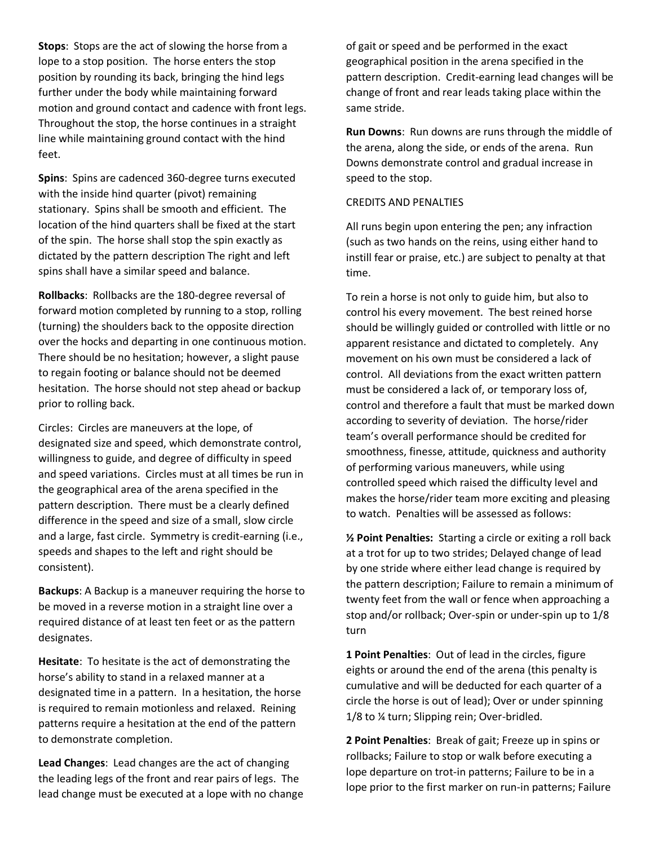**Stops**: Stops are the act of slowing the horse from a lope to a stop position. The horse enters the stop position by rounding its back, bringing the hind legs further under the body while maintaining forward motion and ground contact and cadence with front legs. Throughout the stop, the horse continues in a straight line while maintaining ground contact with the hind feet.

**Spins**: Spins are cadenced 360-degree turns executed with the inside hind quarter (pivot) remaining stationary. Spins shall be smooth and efficient. The location of the hind quarters shall be fixed at the start of the spin. The horse shall stop the spin exactly as dictated by the pattern description The right and left spins shall have a similar speed and balance.

**Rollbacks**: Rollbacks are the 180-degree reversal of forward motion completed by running to a stop, rolling (turning) the shoulders back to the opposite direction over the hocks and departing in one continuous motion. There should be no hesitation; however, a slight pause to regain footing or balance should not be deemed hesitation. The horse should not step ahead or backup prior to rolling back.

Circles: Circles are maneuvers at the lope, of designated size and speed, which demonstrate control, willingness to guide, and degree of difficulty in speed and speed variations. Circles must at all times be run in the geographical area of the arena specified in the pattern description. There must be a clearly defined difference in the speed and size of a small, slow circle and a large, fast circle. Symmetry is credit-earning (i.e., speeds and shapes to the left and right should be consistent).

**Backups**: A Backup is a maneuver requiring the horse to be moved in a reverse motion in a straight line over a required distance of at least ten feet or as the pattern designates.

**Hesitate**: To hesitate is the act of demonstrating the horse's ability to stand in a relaxed manner at a designated time in a pattern. In a hesitation, the horse is required to remain motionless and relaxed. Reining patterns require a hesitation at the end of the pattern to demonstrate completion.

**Lead Changes**: Lead changes are the act of changing the leading legs of the front and rear pairs of legs. The lead change must be executed at a lope with no change of gait or speed and be performed in the exact geographical position in the arena specified in the pattern description. Credit-earning lead changes will be change of front and rear leads taking place within the same stride.

**Run Downs**: Run downs are runs through the middle of the arena, along the side, or ends of the arena. Run Downs demonstrate control and gradual increase in speed to the stop.

#### CREDITS AND PENALTIES

All runs begin upon entering the pen; any infraction (such as two hands on the reins, using either hand to instill fear or praise, etc.) are subject to penalty at that time.

To rein a horse is not only to guide him, but also to control his every movement. The best reined horse should be willingly guided or controlled with little or no apparent resistance and dictated to completely. Any movement on his own must be considered a lack of control. All deviations from the exact written pattern must be considered a lack of, or temporary loss of, control and therefore a fault that must be marked down according to severity of deviation. The horse/rider team's overall performance should be credited for smoothness, finesse, attitude, quickness and authority of performing various maneuvers, while using controlled speed which raised the difficulty level and makes the horse/rider team more exciting and pleasing to watch. Penalties will be assessed as follows:

**½ Point Penalties:** Starting a circle or exiting a roll back at a trot for up to two strides; Delayed change of lead by one stride where either lead change is required by the pattern description; Failure to remain a minimum of twenty feet from the wall or fence when approaching a stop and/or rollback; Over-spin or under-spin up to 1/8 turn

**1 Point Penalties**: Out of lead in the circles, figure eights or around the end of the arena (this penalty is cumulative and will be deducted for each quarter of a circle the horse is out of lead); Over or under spinning 1/8 to ¼ turn; Slipping rein; Over-bridled.

**2 Point Penalties**: Break of gait; Freeze up in spins or rollbacks; Failure to stop or walk before executing a lope departure on trot-in patterns; Failure to be in a lope prior to the first marker on run-in patterns; Failure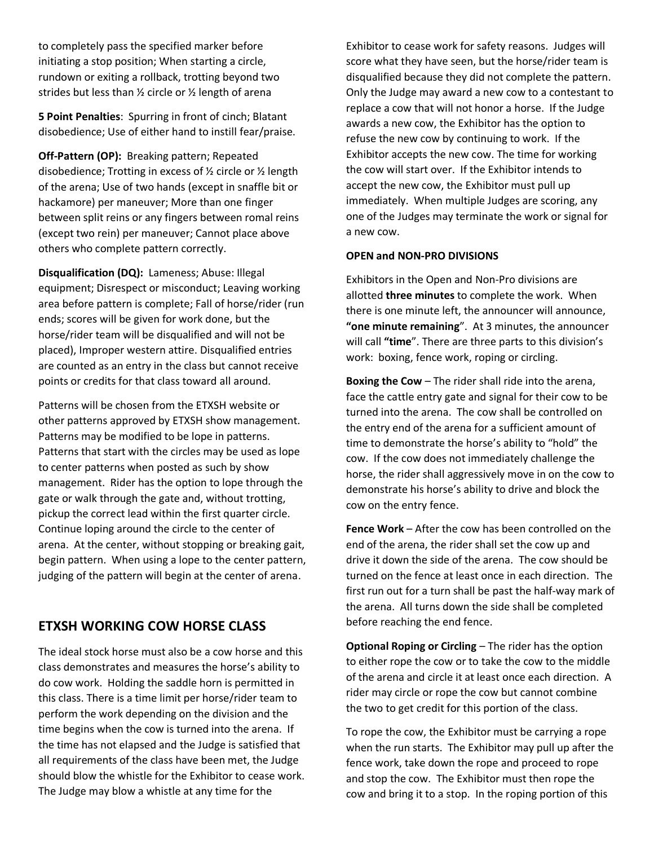to completely pass the specified marker before initiating a stop position; When starting a circle, rundown or exiting a rollback, trotting beyond two strides but less than ½ circle or ½ length of arena

**5 Point Penalties**: Spurring in front of cinch; Blatant disobedience; Use of either hand to instill fear/praise.

**Off-Pattern (OP):** Breaking pattern; Repeated disobedience; Trotting in excess of ½ circle or ½ length of the arena; Use of two hands (except in snaffle bit or hackamore) per maneuver; More than one finger between split reins or any fingers between romal reins (except two rein) per maneuver; Cannot place above others who complete pattern correctly.

**Disqualification (DQ):** Lameness; Abuse: Illegal equipment; Disrespect or misconduct; Leaving working area before pattern is complete; Fall of horse/rider (run ends; scores will be given for work done, but the horse/rider team will be disqualified and will not be placed), Improper western attire. Disqualified entries are counted as an entry in the class but cannot receive points or credits for that class toward all around.

Patterns will be chosen from the ETXSH website or other patterns approved by ETXSH show management. Patterns may be modified to be lope in patterns. Patterns that start with the circles may be used as lope to center patterns when posted as such by show management. Rider has the option to lope through the gate or walk through the gate and, without trotting, pickup the correct lead within the first quarter circle. Continue loping around the circle to the center of arena. At the center, without stopping or breaking gait, begin pattern. When using a lope to the center pattern, judging of the pattern will begin at the center of arena.

## **ETXSH WORKING COW HORSE CLASS**

The ideal stock horse must also be a cow horse and this class demonstrates and measures the horse's ability to do cow work. Holding the saddle horn is permitted in this class. There is a time limit per horse/rider team to perform the work depending on the division and the time begins when the cow is turned into the arena. If the time has not elapsed and the Judge is satisfied that all requirements of the class have been met, the Judge should blow the whistle for the Exhibitor to cease work. The Judge may blow a whistle at any time for the

Exhibitor to cease work for safety reasons. Judges will score what they have seen, but the horse/rider team is disqualified because they did not complete the pattern. Only the Judge may award a new cow to a contestant to replace a cow that will not honor a horse. If the Judge awards a new cow, the Exhibitor has the option to refuse the new cow by continuing to work. If the Exhibitor accepts the new cow. The time for working the cow will start over. If the Exhibitor intends to accept the new cow, the Exhibitor must pull up immediately. When multiple Judges are scoring, any one of the Judges may terminate the work or signal for a new cow.

#### **OPEN and NON-PRO DIVISIONS**

Exhibitors in the Open and Non-Pro divisions are allotted **three minutes** to complete the work. When there is one minute left, the announcer will announce, **"one minute remaining**". At 3 minutes, the announcer will call **"time**". There are three parts to this division's work: boxing, fence work, roping or circling.

**Boxing the Cow** – The rider shall ride into the arena, face the cattle entry gate and signal for their cow to be turned into the arena. The cow shall be controlled on the entry end of the arena for a sufficient amount of time to demonstrate the horse's ability to "hold" the cow. If the cow does not immediately challenge the horse, the rider shall aggressively move in on the cow to demonstrate his horse's ability to drive and block the cow on the entry fence.

**Fence Work** – After the cow has been controlled on the end of the arena, the rider shall set the cow up and drive it down the side of the arena. The cow should be turned on the fence at least once in each direction. The first run out for a turn shall be past the half-way mark of the arena. All turns down the side shall be completed before reaching the end fence.

**Optional Roping or Circling** – The rider has the option to either rope the cow or to take the cow to the middle of the arena and circle it at least once each direction. A rider may circle or rope the cow but cannot combine the two to get credit for this portion of the class.

To rope the cow, the Exhibitor must be carrying a rope when the run starts. The Exhibitor may pull up after the fence work, take down the rope and proceed to rope and stop the cow. The Exhibitor must then rope the cow and bring it to a stop. In the roping portion of this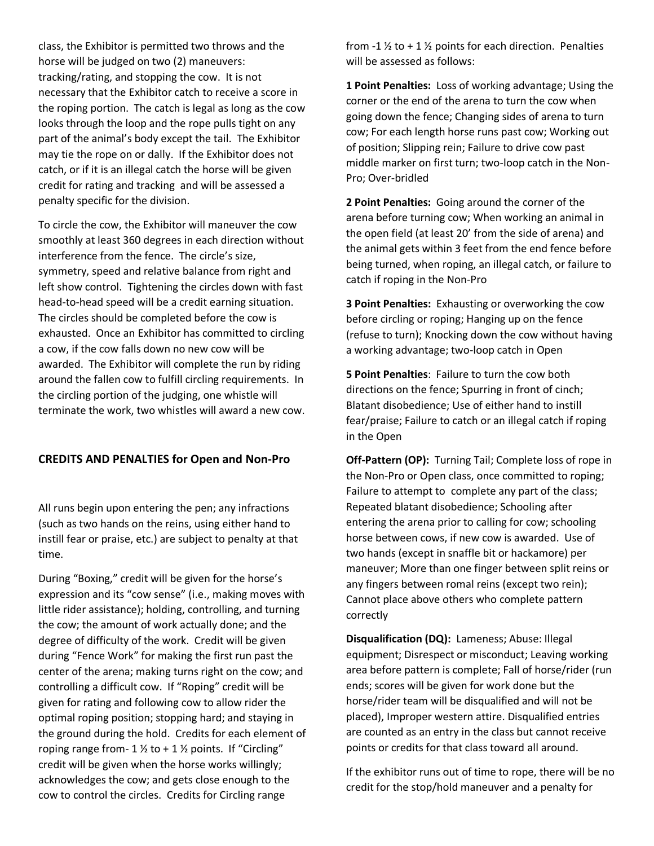class, the Exhibitor is permitted two throws and the horse will be judged on two (2) maneuvers: tracking/rating, and stopping the cow. It is not necessary that the Exhibitor catch to receive a score in the roping portion. The catch is legal as long as the cow looks through the loop and the rope pulls tight on any part of the animal's body except the tail. The Exhibitor may tie the rope on or dally. If the Exhibitor does not catch, or if it is an illegal catch the horse will be given credit for rating and tracking and will be assessed a penalty specific for the division.

To circle the cow, the Exhibitor will maneuver the cow smoothly at least 360 degrees in each direction without interference from the fence. The circle's size, symmetry, speed and relative balance from right and left show control. Tightening the circles down with fast head-to-head speed will be a credit earning situation. The circles should be completed before the cow is exhausted. Once an Exhibitor has committed to circling a cow, if the cow falls down no new cow will be awarded. The Exhibitor will complete the run by riding around the fallen cow to fulfill circling requirements. In the circling portion of the judging, one whistle will terminate the work, two whistles will award a new cow.

### **CREDITS AND PENALTIES for Open and Non-Pro**

All runs begin upon entering the pen; any infractions (such as two hands on the reins, using either hand to instill fear or praise, etc.) are subject to penalty at that time.

During "Boxing," credit will be given for the horse's expression and its "cow sense" (i.e., making moves with little rider assistance); holding, controlling, and turning the cow; the amount of work actually done; and the degree of difficulty of the work. Credit will be given during "Fence Work" for making the first run past the center of the arena; making turns right on the cow; and controlling a difficult cow. If "Roping" credit will be given for rating and following cow to allow rider the optimal roping position; stopping hard; and staying in the ground during the hold. Credits for each element of roping range from-  $1 \frac{1}{2}$  to +  $1 \frac{1}{2}$  points. If "Circling" credit will be given when the horse works willingly; acknowledges the cow; and gets close enough to the cow to control the circles. Credits for Circling range

from -1  $\frac{1}{2}$  to + 1  $\frac{1}{2}$  points for each direction. Penalties will be assessed as follows:

**1 Point Penalties:** Loss of working advantage; Using the corner or the end of the arena to turn the cow when going down the fence; Changing sides of arena to turn cow; For each length horse runs past cow; Working out of position; Slipping rein; Failure to drive cow past middle marker on first turn; two-loop catch in the Non-Pro; Over-bridled

**2 Point Penalties:** Going around the corner of the arena before turning cow; When working an animal in the open field (at least 20' from the side of arena) and the animal gets within 3 feet from the end fence before being turned, when roping, an illegal catch, or failure to catch if roping in the Non-Pro

**3 Point Penalties:** Exhausting or overworking the cow before circling or roping; Hanging up on the fence (refuse to turn); Knocking down the cow without having a working advantage; two-loop catch in Open

**5 Point Penalties**: Failure to turn the cow both directions on the fence; Spurring in front of cinch; Blatant disobedience; Use of either hand to instill fear/praise; Failure to catch or an illegal catch if roping in the Open

**Off-Pattern (OP):** Turning Tail; Complete loss of rope in the Non-Pro or Open class, once committed to roping; Failure to attempt to complete any part of the class; Repeated blatant disobedience; Schooling after entering the arena prior to calling for cow; schooling horse between cows, if new cow is awarded. Use of two hands (except in snaffle bit or hackamore) per maneuver; More than one finger between split reins or any fingers between romal reins (except two rein); Cannot place above others who complete pattern correctly

**Disqualification (DQ):** Lameness; Abuse: Illegal equipment; Disrespect or misconduct; Leaving working area before pattern is complete; Fall of horse/rider (run ends; scores will be given for work done but the horse/rider team will be disqualified and will not be placed), Improper western attire. Disqualified entries are counted as an entry in the class but cannot receive points or credits for that class toward all around.

If the exhibitor runs out of time to rope, there will be no credit for the stop/hold maneuver and a penalty for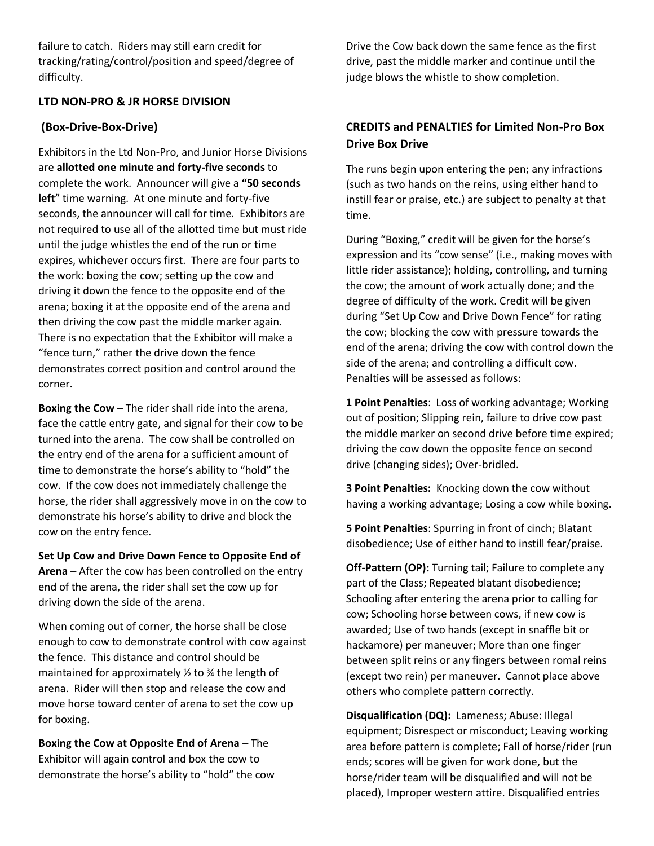failure to catch. Riders may still earn credit for tracking/rating/control/position and speed/degree of difficulty.

### **LTD NON-PRO & JR HORSE DIVISION**

### **(Box-Drive-Box-Drive)**

Exhibitors in the Ltd Non-Pro, and Junior Horse Divisions are **allotted one minute and forty-five seconds** to complete the work. Announcer will give a **"50 seconds left**" time warning. At one minute and forty-five seconds, the announcer will call for time. Exhibitors are not required to use all of the allotted time but must ride until the judge whistles the end of the run or time expires, whichever occurs first. There are four parts to the work: boxing the cow; setting up the cow and driving it down the fence to the opposite end of the arena; boxing it at the opposite end of the arena and then driving the cow past the middle marker again. There is no expectation that the Exhibitor will make a "fence turn," rather the drive down the fence demonstrates correct position and control around the corner.

**Boxing the Cow** – The rider shall ride into the arena, face the cattle entry gate, and signal for their cow to be turned into the arena. The cow shall be controlled on the entry end of the arena for a sufficient amount of time to demonstrate the horse's ability to "hold" the cow. If the cow does not immediately challenge the horse, the rider shall aggressively move in on the cow to demonstrate his horse's ability to drive and block the cow on the entry fence.

**Set Up Cow and Drive Down Fence to Opposite End of Arena** – After the cow has been controlled on the entry end of the arena, the rider shall set the cow up for driving down the side of the arena.

When coming out of corner, the horse shall be close enough to cow to demonstrate control with cow against the fence. This distance and control should be maintained for approximately  $\frac{1}{2}$  to  $\frac{3}{4}$  the length of arena. Rider will then stop and release the cow and move horse toward center of arena to set the cow up for boxing.

**Boxing the Cow at Opposite End of Arena** – The Exhibitor will again control and box the cow to demonstrate the horse's ability to "hold" the cow

Drive the Cow back down the same fence as the first drive, past the middle marker and continue until the judge blows the whistle to show completion.

# **CREDITS and PENALTIES for Limited Non-Pro Box Drive Box Drive**

The runs begin upon entering the pen; any infractions (such as two hands on the reins, using either hand to instill fear or praise, etc.) are subject to penalty at that time.

During "Boxing," credit will be given for the horse's expression and its "cow sense" (i.e., making moves with little rider assistance); holding, controlling, and turning the cow; the amount of work actually done; and the degree of difficulty of the work. Credit will be given during "Set Up Cow and Drive Down Fence" for rating the cow; blocking the cow with pressure towards the end of the arena; driving the cow with control down the side of the arena; and controlling a difficult cow. Penalties will be assessed as follows:

**1 Point Penalties**: Loss of working advantage; Working out of position; Slipping rein, failure to drive cow past the middle marker on second drive before time expired; driving the cow down the opposite fence on second drive (changing sides); Over-bridled.

**3 Point Penalties:** Knocking down the cow without having a working advantage; Losing a cow while boxing.

**5 Point Penalties**: Spurring in front of cinch; Blatant disobedience; Use of either hand to instill fear/praise.

**Off-Pattern (OP):** Turning tail; Failure to complete any part of the Class; Repeated blatant disobedience; Schooling after entering the arena prior to calling for cow; Schooling horse between cows, if new cow is awarded; Use of two hands (except in snaffle bit or hackamore) per maneuver; More than one finger between split reins or any fingers between romal reins (except two rein) per maneuver. Cannot place above others who complete pattern correctly.

**Disqualification (DQ):** Lameness; Abuse: Illegal equipment; Disrespect or misconduct; Leaving working area before pattern is complete; Fall of horse/rider (run ends; scores will be given for work done, but the horse/rider team will be disqualified and will not be placed), Improper western attire. Disqualified entries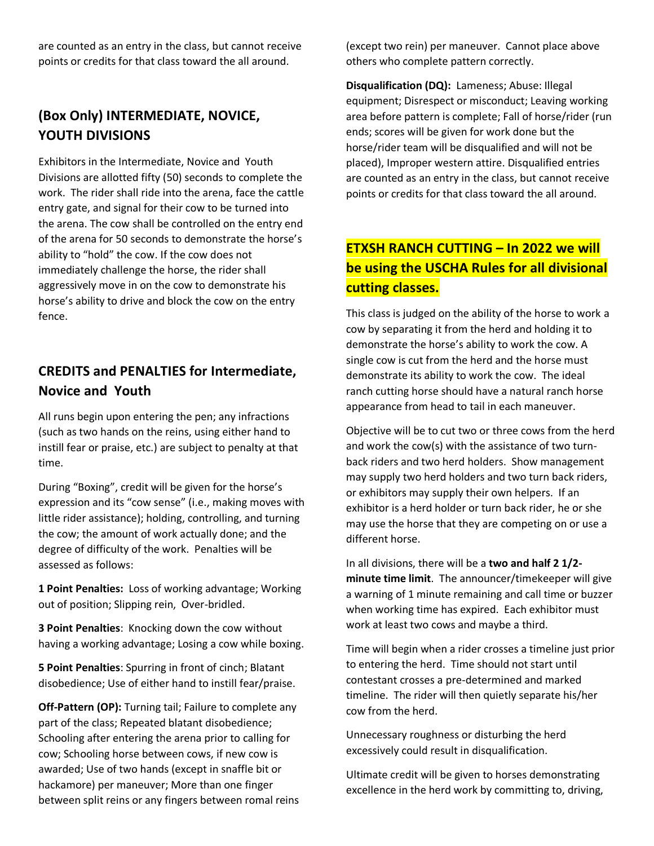are counted as an entry in the class, but cannot receive points or credits for that class toward the all around.

# **(Box Only) INTERMEDIATE, NOVICE, YOUTH DIVISIONS**

Exhibitors in the Intermediate, Novice and Youth Divisions are allotted fifty (50) seconds to complete the work. The rider shall ride into the arena, face the cattle entry gate, and signal for their cow to be turned into the arena. The cow shall be controlled on the entry end of the arena for 50 seconds to demonstrate the horse's ability to "hold" the cow. If the cow does not immediately challenge the horse, the rider shall aggressively move in on the cow to demonstrate his horse's ability to drive and block the cow on the entry fence.

# **CREDITS and PENALTIES for Intermediate, Novice and Youth**

All runs begin upon entering the pen; any infractions (such as two hands on the reins, using either hand to instill fear or praise, etc.) are subject to penalty at that time.

During "Boxing", credit will be given for the horse's expression and its "cow sense" (i.e., making moves with little rider assistance); holding, controlling, and turning the cow; the amount of work actually done; and the degree of difficulty of the work. Penalties will be assessed as follows:

**1 Point Penalties:** Loss of working advantage; Working out of position; Slipping rein, Over-bridled.

**3 Point Penalties**: Knocking down the cow without having a working advantage; Losing a cow while boxing.

**5 Point Penalties**: Spurring in front of cinch; Blatant disobedience; Use of either hand to instill fear/praise.

**Off-Pattern (OP):** Turning tail; Failure to complete any part of the class; Repeated blatant disobedience; Schooling after entering the arena prior to calling for cow; Schooling horse between cows, if new cow is awarded; Use of two hands (except in snaffle bit or hackamore) per maneuver; More than one finger between split reins or any fingers between romal reins (except two rein) per maneuver. Cannot place above others who complete pattern correctly.

**Disqualification (DQ):** Lameness; Abuse: Illegal equipment; Disrespect or misconduct; Leaving working area before pattern is complete; Fall of horse/rider (run ends; scores will be given for work done but the horse/rider team will be disqualified and will not be placed), Improper western attire. Disqualified entries are counted as an entry in the class, but cannot receive points or credits for that class toward the all around.

# **ETXSH RANCH CUTTING – In 2022 we will be using the USCHA Rules for all divisional cutting classes.**

This class is judged on the ability of the horse to work a cow by separating it from the herd and holding it to demonstrate the horse's ability to work the cow. A single cow is cut from the herd and the horse must demonstrate its ability to work the cow. The ideal ranch cutting horse should have a natural ranch horse appearance from head to tail in each maneuver.

Objective will be to cut two or three cows from the herd and work the cow(s) with the assistance of two turnback riders and two herd holders. Show management may supply two herd holders and two turn back riders, or exhibitors may supply their own helpers. If an exhibitor is a herd holder or turn back rider, he or she may use the horse that they are competing on or use a different horse.

In all divisions, there will be a **two and half 2 1/2 minute time limit**. The announcer/timekeeper will give a warning of 1 minute remaining and call time or buzzer when working time has expired. Each exhibitor must work at least two cows and maybe a third.

Time will begin when a rider crosses a timeline just prior to entering the herd. Time should not start until contestant crosses a pre-determined and marked timeline. The rider will then quietly separate his/her cow from the herd.

Unnecessary roughness or disturbing the herd excessively could result in disqualification.

Ultimate credit will be given to horses demonstrating excellence in the herd work by committing to, driving,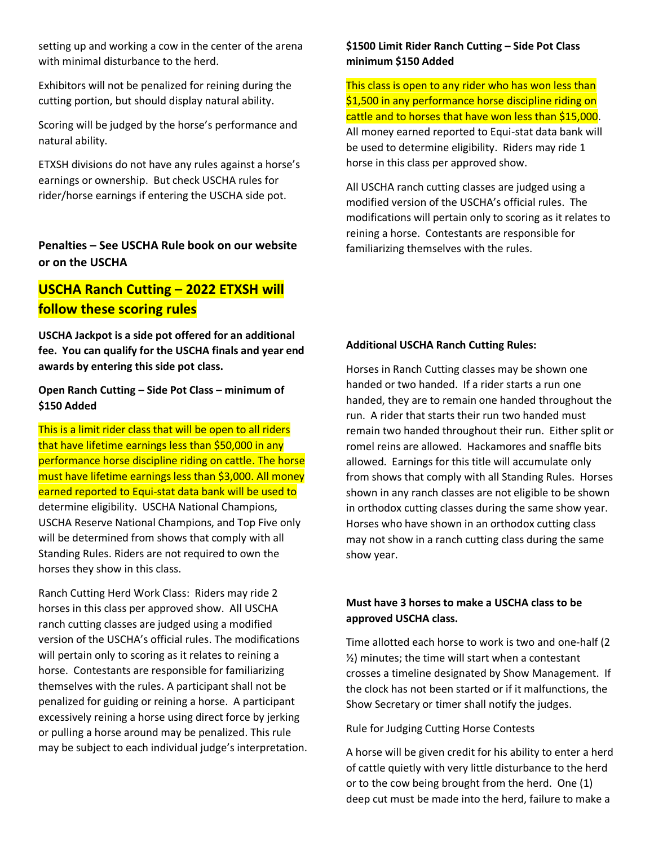setting up and working a cow in the center of the arena with minimal disturbance to the herd.

Exhibitors will not be penalized for reining during the cutting portion, but should display natural ability.

Scoring will be judged by the horse's performance and natural ability.

ETXSH divisions do not have any rules against a horse's earnings or ownership. But check USCHA rules for rider/horse earnings if entering the USCHA side pot.

### **Penalties – See USCHA Rule book on our website or on the USCHA**

# **USCHA Ranch Cutting – 2022 ETXSH will follow these scoring rules**

**USCHA Jackpot is a side pot offered for an additional fee. You can qualify for the USCHA finals and year end awards by entering this side pot class.**

**Open Ranch Cutting – Side Pot Class – minimum of \$150 Added**

This is a limit rider class that will be open to all riders that have lifetime earnings less than \$50,000 in any performance horse discipline riding on cattle. The horse must have lifetime earnings less than \$3,000. All money earned reported to Equi-stat data bank will be used to determine eligibility. USCHA National Champions, USCHA Reserve National Champions, and Top Five only will be determined from shows that comply with all Standing Rules. Riders are not required to own the horses they show in this class.

Ranch Cutting Herd Work Class: Riders may ride 2 horses in this class per approved show. All USCHA ranch cutting classes are judged using a modified version of the USCHA's official rules. The modifications will pertain only to scoring as it relates to reining a horse. Contestants are responsible for familiarizing themselves with the rules. A participant shall not be penalized for guiding or reining a horse. A participant excessively reining a horse using direct force by jerking or pulling a horse around may be penalized. This rule may be subject to each individual judge's interpretation.

### **\$1500 Limit Rider Ranch Cutting – Side Pot Class minimum \$150 Added**

This class is open to any rider who has won less than \$1,500 in any performance horse discipline riding on cattle and to horses that have won less than \$15,000. All money earned reported to Equi-stat data bank will be used to determine eligibility. Riders may ride 1 horse in this class per approved show.

All USCHA ranch cutting classes are judged using a modified version of the USCHA's official rules. The modifications will pertain only to scoring as it relates to reining a horse. Contestants are responsible for familiarizing themselves with the rules.

#### **Additional USCHA Ranch Cutting Rules:**

Horses in Ranch Cutting classes may be shown one handed or two handed. If a rider starts a run one handed, they are to remain one handed throughout the run. A rider that starts their run two handed must remain two handed throughout their run. Either split or romel reins are allowed. Hackamores and snaffle bits allowed. Earnings for this title will accumulate only from shows that comply with all Standing Rules. Horses shown in any ranch classes are not eligible to be shown in orthodox cutting classes during the same show year. Horses who have shown in an orthodox cutting class may not show in a ranch cutting class during the same show year.

### **Must have 3 horses to make a USCHA class to be approved USCHA class.**

Time allotted each horse to work is two and one-half (2 ½) minutes; the time will start when a contestant crosses a timeline designated by Show Management. If the clock has not been started or if it malfunctions, the Show Secretary or timer shall notify the judges.

Rule for Judging Cutting Horse Contests

A horse will be given credit for his ability to enter a herd of cattle quietly with very little disturbance to the herd or to the cow being brought from the herd. One (1) deep cut must be made into the herd, failure to make a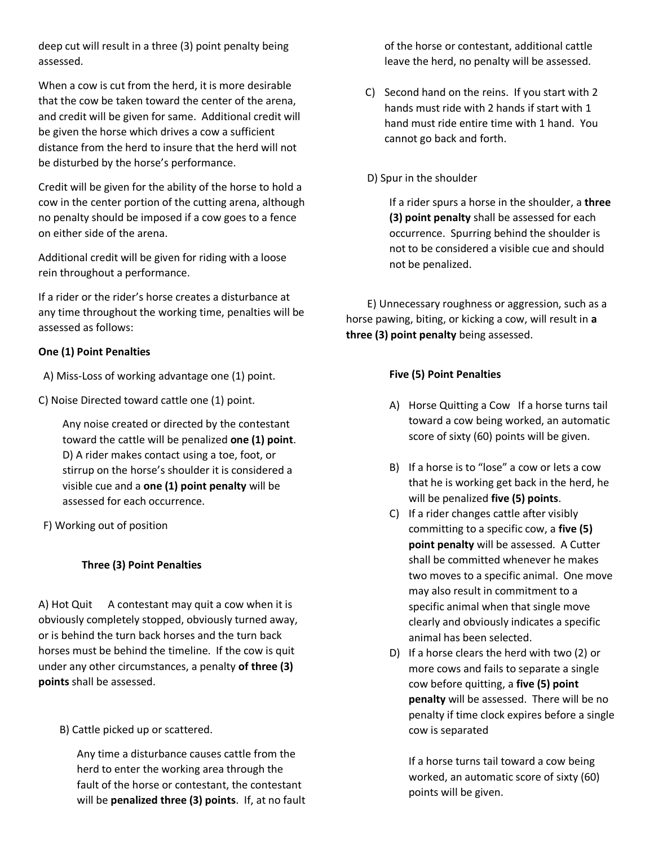deep cut will result in a three (3) point penalty being assessed.

When a cow is cut from the herd, it is more desirable that the cow be taken toward the center of the arena, and credit will be given for same. Additional credit will be given the horse which drives a cow a sufficient distance from the herd to insure that the herd will not be disturbed by the horse's performance.

Credit will be given for the ability of the horse to hold a cow in the center portion of the cutting arena, although no penalty should be imposed if a cow goes to a fence on either side of the arena.

Additional credit will be given for riding with a loose rein throughout a performance.

If a rider or the rider's horse creates a disturbance at any time throughout the working time, penalties will be assessed as follows:

### **One (1) Point Penalties**

A) Miss-Loss of working advantage one (1) point.

C) Noise Directed toward cattle one (1) point.

Any noise created or directed by the contestant toward the cattle will be penalized **one (1) point**. D) A rider makes contact using a toe, foot, or stirrup on the horse's shoulder it is considered a visible cue and a **one (1) point penalty** will be assessed for each occurrence.

F) Working out of position

### **Three (3) Point Penalties**

A) Hot Quit A contestant may quit a cow when it is obviously completely stopped, obviously turned away, or is behind the turn back horses and the turn back horses must be behind the timeline. If the cow is quit under any other circumstances, a penalty **of three (3) points** shall be assessed.

B) Cattle picked up or scattered.

Any time a disturbance causes cattle from the herd to enter the working area through the fault of the horse or contestant, the contestant will be **penalized three (3) points**. If, at no fault of the horse or contestant, additional cattle leave the herd, no penalty will be assessed.

C) Second hand on the reins. If you start with 2 hands must ride with 2 hands if start with 1 hand must ride entire time with 1 hand. You cannot go back and forth.

D) Spur in the shoulder

If a rider spurs a horse in the shoulder, a **three (3) point penalty** shall be assessed for each occurrence. Spurring behind the shoulder is not to be considered a visible cue and should not be penalized.

 E) Unnecessary roughness or aggression, such as a horse pawing, biting, or kicking a cow, will result in **a three (3) point penalty** being assessed.

### **Five (5) Point Penalties**

- A) Horse Quitting a Cow If a horse turns tail toward a cow being worked, an automatic score of sixty (60) points will be given.
- B) If a horse is to "lose" a cow or lets a cow that he is working get back in the herd, he will be penalized **five (5) points**.
- C) If a rider changes cattle after visibly committing to a specific cow, a **five (5) point penalty** will be assessed. A Cutter shall be committed whenever he makes two moves to a specific animal. One move may also result in commitment to a specific animal when that single move clearly and obviously indicates a specific animal has been selected.
- D) If a horse clears the herd with two (2) or more cows and fails to separate a single cow before quitting, a **five (5) point penalty** will be assessed. There will be no penalty if time clock expires before a single cow is separated

If a horse turns tail toward a cow being worked, an automatic score of sixty (60) points will be given.